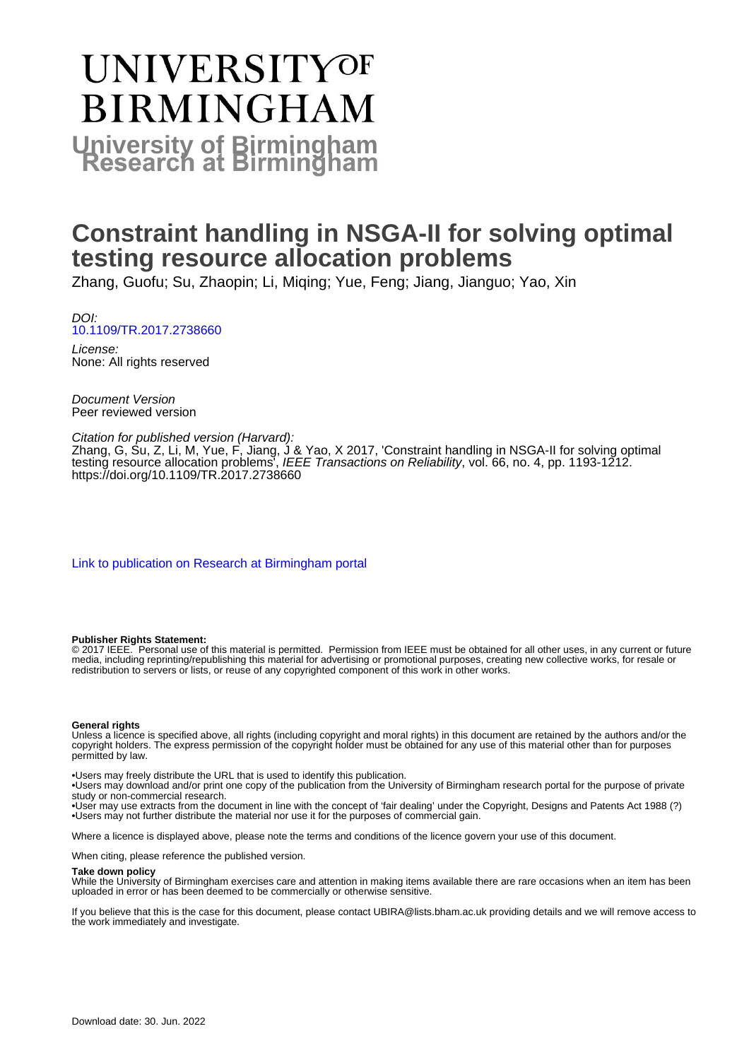# UNIVERSITYOF **BIRMINGHAM University of Birmingham**

### **Constraint handling in NSGA-II for solving optimal testing resource allocation problems**

Zhang, Guofu; Su, Zhaopin; Li, Miqing; Yue, Feng; Jiang, Jianguo; Yao, Xin

DOI: [10.1109/TR.2017.2738660](https://doi.org/10.1109/TR.2017.2738660)

License: None: All rights reserved

Document Version Peer reviewed version

#### Citation for published version (Harvard):

Zhang, G, Su, Z, Li, M, Yue, F, Jiang, J & Yao, X 2017, 'Constraint handling in NSGA-II for solving optimal testing resource allocation problems<sup>'</sup>, IEEE Transactions on Reliability, vol. 66, no. 4, pp. 1193-1212. <https://doi.org/10.1109/TR.2017.2738660>

[Link to publication on Research at Birmingham portal](https://birmingham.elsevierpure.com/en/publications/c47fc353-d453-43cb-9bc0-2be7b9cb54ff)

#### **Publisher Rights Statement:**

© 2017 IEEE. Personal use of this material is permitted. Permission from IEEE must be obtained for all other uses, in any current or future media, including reprinting/republishing this material for advertising or promotional purposes, creating new collective works, for resale or redistribution to servers or lists, or reuse of any copyrighted component of this work in other works.

#### **General rights**

Unless a licence is specified above, all rights (including copyright and moral rights) in this document are retained by the authors and/or the copyright holders. The express permission of the copyright holder must be obtained for any use of this material other than for purposes permitted by law.

• Users may freely distribute the URL that is used to identify this publication.

• Users may download and/or print one copy of the publication from the University of Birmingham research portal for the purpose of private study or non-commercial research.

• User may use extracts from the document in line with the concept of 'fair dealing' under the Copyright, Designs and Patents Act 1988 (?) • Users may not further distribute the material nor use it for the purposes of commercial gain.

Where a licence is displayed above, please note the terms and conditions of the licence govern your use of this document.

When citing, please reference the published version.

#### **Take down policy**

While the University of Birmingham exercises care and attention in making items available there are rare occasions when an item has been uploaded in error or has been deemed to be commercially or otherwise sensitive.

If you believe that this is the case for this document, please contact UBIRA@lists.bham.ac.uk providing details and we will remove access to the work immediately and investigate.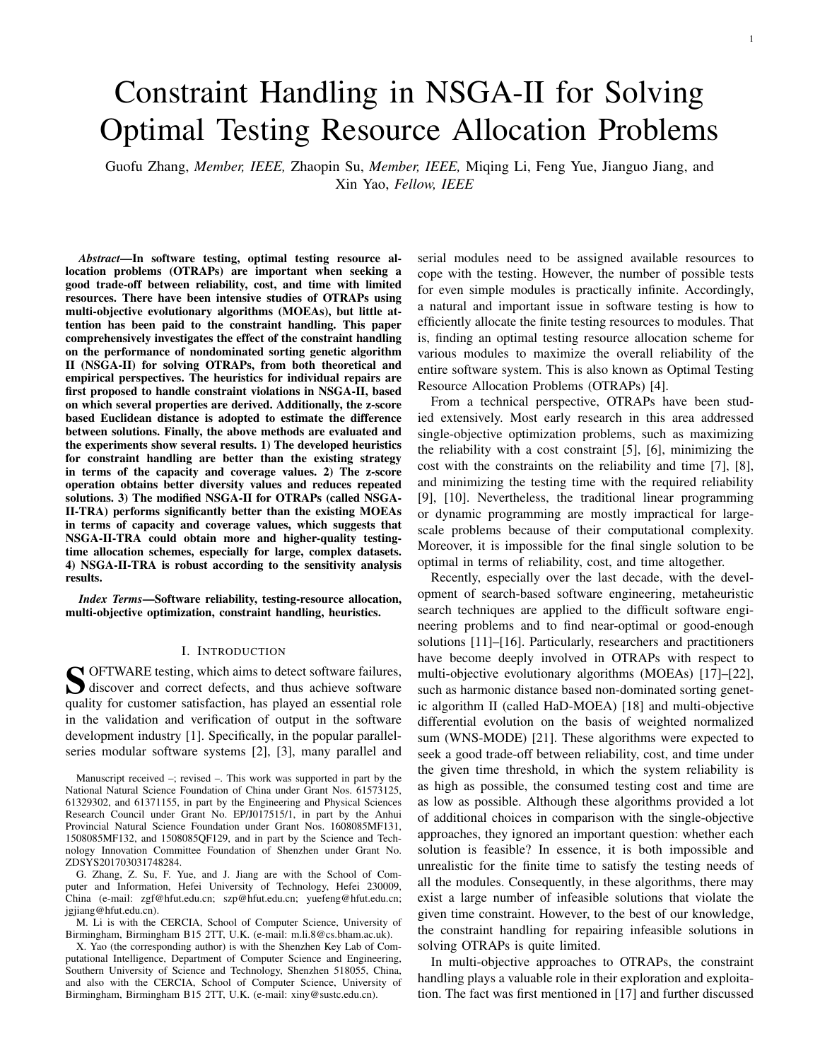## Constraint Handling in NSGA-II for Solving Optimal Testing Resource Allocation Problems

Guofu Zhang, *Member, IEEE,* Zhaopin Su, *Member, IEEE,* Miqing Li, Feng Yue, Jianguo Jiang, and Xin Yao, *Fellow, IEEE*

*Abstract*—In software testing, optimal testing resource allocation problems (OTRAPs) are important when seeking a good trade-off between reliability, cost, and time with limited resources. There have been intensive studies of OTRAPs using multi-objective evolutionary algorithms (MOEAs), but little attention has been paid to the constraint handling. This paper comprehensively investigates the effect of the constraint handling on the performance of nondominated sorting genetic algorithm II (NSGA-II) for solving OTRAPs, from both theoretical and empirical perspectives. The heuristics for individual repairs are first proposed to handle constraint violations in NSGA-II, based on which several properties are derived. Additionally, the z-score based Euclidean distance is adopted to estimate the difference between solutions. Finally, the above methods are evaluated and the experiments show several results. 1) The developed heuristics for constraint handling are better than the existing strategy in terms of the capacity and coverage values. 2) The z-score operation obtains better diversity values and reduces repeated solutions. 3) The modified NSGA-II for OTRAPs (called NSGA-II-TRA) performs significantly better than the existing MOEAs in terms of capacity and coverage values, which suggests that NSGA-II-TRA could obtain more and higher-quality testingtime allocation schemes, especially for large, complex datasets. 4) NSGA-II-TRA is robust according to the sensitivity analysis results.

*Index Terms*—Software reliability, testing-resource allocation, multi-objective optimization, constraint handling, heuristics.

#### I. INTRODUCTION

S OFTWARE testing, which aims to detect software failures,<br>discover and correct defects, and thus achieve software discover and correct defects, and thus achieve software quality for customer satisfaction, has played an essential role in the validation and verification of output in the software development industry [1]. Specifically, in the popular parallelseries modular software systems [2], [3], many parallel and

G. Zhang, Z. Su, F. Yue, and J. Jiang are with the School of Computer and Information, Hefei University of Technology, Hefei 230009, China (e-mail: zgf@hfut.edu.cn; szp@hfut.edu.cn; yuefeng@hfut.edu.cn; jgjiang@hfut.edu.cn).

M. Li is with the CERCIA, School of Computer Science, University of Birmingham, Birmingham B15 2TT, U.K. (e-mail: m.li.8@cs.bham.ac.uk).

X. Yao (the corresponding author) is with the Shenzhen Key Lab of Computational Intelligence, Department of Computer Science and Engineering, Southern University of Science and Technology, Shenzhen 518055, China, and also with the CERCIA, School of Computer Science, University of Birmingham, Birmingham B15 2TT, U.K. (e-mail: xiny@sustc.edu.cn).

serial modules need to be assigned available resources to cope with the testing. However, the number of possible tests for even simple modules is practically infinite. Accordingly, a natural and important issue in software testing is how to efficiently allocate the finite testing resources to modules. That is, finding an optimal testing resource allocation scheme for various modules to maximize the overall reliability of the entire software system. This is also known as Optimal Testing Resource Allocation Problems (OTRAPs) [4].

From a technical perspective, OTRAPs have been studied extensively. Most early research in this area addressed single-objective optimization problems, such as maximizing the reliability with a cost constraint [5], [6], minimizing the cost with the constraints on the reliability and time [7], [8], and minimizing the testing time with the required reliability [9], [10]. Nevertheless, the traditional linear programming or dynamic programming are mostly impractical for largescale problems because of their computational complexity. Moreover, it is impossible for the final single solution to be optimal in terms of reliability, cost, and time altogether.

Recently, especially over the last decade, with the development of search-based software engineering, metaheuristic search techniques are applied to the difficult software engineering problems and to find near-optimal or good-enough solutions [11]–[16]. Particularly, researchers and practitioners have become deeply involved in OTRAPs with respect to multi-objective evolutionary algorithms (MOEAs) [17]–[22], such as harmonic distance based non-dominated sorting genetic algorithm II (called HaD-MOEA) [18] and multi-objective differential evolution on the basis of weighted normalized sum (WNS-MODE) [21]. These algorithms were expected to seek a good trade-off between reliability, cost, and time under the given time threshold, in which the system reliability is as high as possible, the consumed testing cost and time are as low as possible. Although these algorithms provided a lot of additional choices in comparison with the single-objective approaches, they ignored an important question: whether each solution is feasible? In essence, it is both impossible and unrealistic for the finite time to satisfy the testing needs of all the modules. Consequently, in these algorithms, there may exist a large number of infeasible solutions that violate the given time constraint. However, to the best of our knowledge, the constraint handling for repairing infeasible solutions in solving OTRAPs is quite limited.

In multi-objective approaches to OTRAPs, the constraint handling plays a valuable role in their exploration and exploitation. The fact was first mentioned in [17] and further discussed

Manuscript received –; revised –. This work was supported in part by the National Natural Science Foundation of China under Grant Nos. 61573125, 61329302, and 61371155, in part by the Engineering and Physical Sciences Research Council under Grant No. EP/J017515/1, in part by the Anhui Provincial Natural Science Foundation under Grant Nos. 1608085MF131, 1508085MF132, and 1508085QF129, and in part by the Science and Technology Innovation Committee Foundation of Shenzhen under Grant No. ZDSYS201703031748284.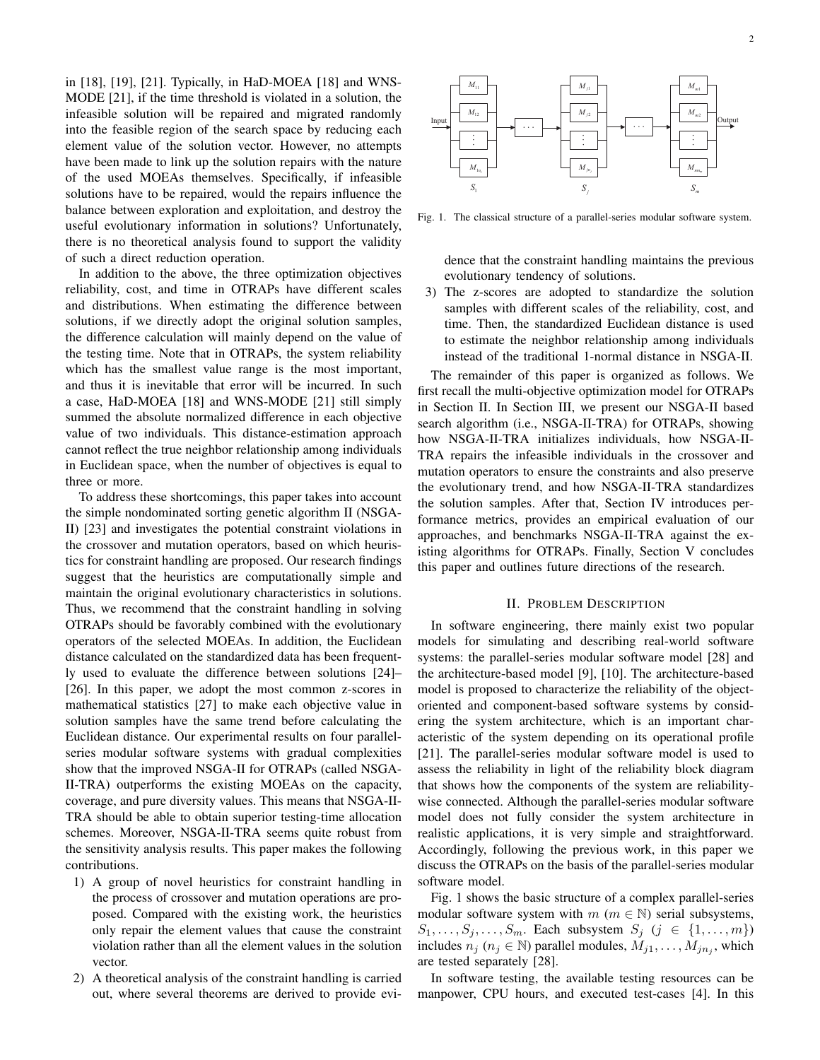in [18], [19], [21]. Typically, in HaD-MOEA [18] and WNS-MODE [21], if the time threshold is violated in a solution, the infeasible solution will be repaired and migrated randomly into the feasible region of the search space by reducing each element value of the solution vector. However, no attempts have been made to link up the solution repairs with the nature of the used MOEAs themselves. Specifically, if infeasible solutions have to be repaired, would the repairs influence the balance between exploration and exploitation, and destroy the useful evolutionary information in solutions? Unfortunately, there is no theoretical analysis found to support the validity of such a direct reduction operation.

In addition to the above, the three optimization objectives reliability, cost, and time in OTRAPs have different scales and distributions. When estimating the difference between solutions, if we directly adopt the original solution samples, the difference calculation will mainly depend on the value of the testing time. Note that in OTRAPs, the system reliability which has the smallest value range is the most important, and thus it is inevitable that error will be incurred. In such a case, HaD-MOEA [18] and WNS-MODE [21] still simply summed the absolute normalized difference in each objective value of two individuals. This distance-estimation approach cannot reflect the true neighbor relationship among individuals in Euclidean space, when the number of objectives is equal to three or more.

To address these shortcomings, this paper takes into account the simple nondominated sorting genetic algorithm II (NSGA-II) [23] and investigates the potential constraint violations in the crossover and mutation operators, based on which heuristics for constraint handling are proposed. Our research findings suggest that the heuristics are computationally simple and maintain the original evolutionary characteristics in solutions. Thus, we recommend that the constraint handling in solving OTRAPs should be favorably combined with the evolutionary operators of the selected MOEAs. In addition, the Euclidean distance calculated on the standardized data has been frequently used to evaluate the difference between solutions [24]– [26]. In this paper, we adopt the most common z-scores in mathematical statistics [27] to make each objective value in solution samples have the same trend before calculating the Euclidean distance. Our experimental results on four parallelseries modular software systems with gradual complexities show that the improved NSGA-II for OTRAPs (called NSGA-II-TRA) outperforms the existing MOEAs on the capacity, coverage, and pure diversity values. This means that NSGA-II-TRA should be able to obtain superior testing-time allocation schemes. Moreover, NSGA-II-TRA seems quite robust from the sensitivity analysis results. This paper makes the following contributions.

- 1) A group of novel heuristics for constraint handling in the process of crossover and mutation operations are proposed. Compared with the existing work, the heuristics only repair the element values that cause the constraint violation rather than all the element values in the solution vector.
- 2) A theoretical analysis of the constraint handling is carried out, where several theorems are derived to provide evi-



Fig. 1. The classical structure of a parallel-series modular software system.

dence that the constraint handling maintains the previous evolutionary tendency of solutions.

3) The z-scores are adopted to standardize the solution samples with different scales of the reliability, cost, and time. Then, the standardized Euclidean distance is used to estimate the neighbor relationship among individuals instead of the traditional 1-normal distance in NSGA-II.

The remainder of this paper is organized as follows. We first recall the multi-objective optimization model for OTRAPs in Section II. In Section III, we present our NSGA-II based search algorithm (i.e., NSGA-II-TRA) for OTRAPs, showing how NSGA-II-TRA initializes individuals, how NSGA-II-TRA repairs the infeasible individuals in the crossover and mutation operators to ensure the constraints and also preserve the evolutionary trend, and how NSGA-II-TRA standardizes the solution samples. After that, Section IV introduces performance metrics, provides an empirical evaluation of our approaches, and benchmarks NSGA-II-TRA against the existing algorithms for OTRAPs. Finally, Section V concludes this paper and outlines future directions of the research.

#### II. PROBLEM DESCRIPTION

In software engineering, there mainly exist two popular models for simulating and describing real-world software systems: the parallel-series modular software model [28] and the architecture-based model [9], [10]. The architecture-based model is proposed to characterize the reliability of the objectoriented and component-based software systems by considering the system architecture, which is an important characteristic of the system depending on its operational profile [21]. The parallel-series modular software model is used to assess the reliability in light of the reliability block diagram that shows how the components of the system are reliabilitywise connected. Although the parallel-series modular software model does not fully consider the system architecture in realistic applications, it is very simple and straightforward. Accordingly, following the previous work, in this paper we discuss the OTRAPs on the basis of the parallel-series modular software model.

Fig. 1 shows the basic structure of a complex parallel-series modular software system with  $m$  ( $m \in \mathbb{N}$ ) serial subsystems,  $S_1, \ldots, S_j, \ldots, S_m$ . Each subsystem  $S_j$  (*j*  $\in \{1, \ldots, m\}$ ) includes  $n_j$  ( $n_j \in \mathbb{N}$ ) parallel modules,  $M_{j1}, \ldots, M_{jn_j}$ , which are tested separately [28].

In software testing, the available testing resources can be manpower, CPU hours, and executed test-cases [4]. In this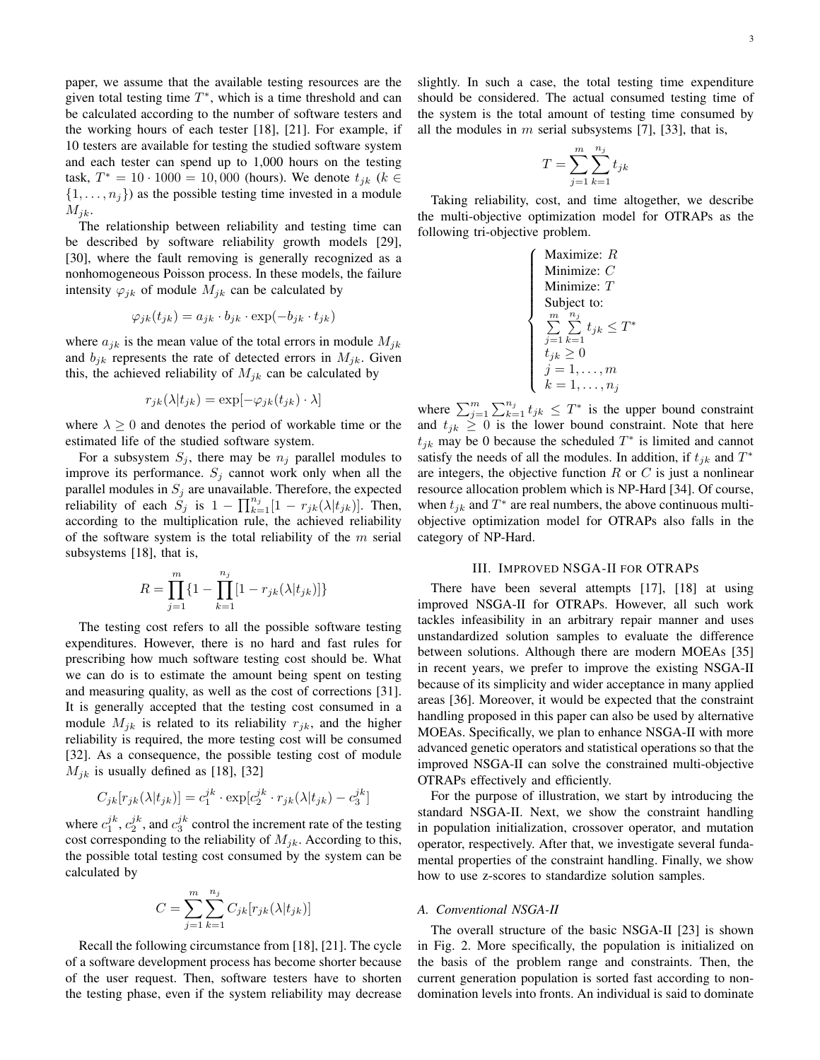paper, we assume that the available testing resources are the given total testing time  $T^*$ , which is a time threshold and can be calculated according to the number of software testers and the working hours of each tester [18], [21]. For example, if 10 testers are available for testing the studied software system and each tester can spend up to 1,000 hours on the testing task,  $T^* = 10 \cdot 1000 = 10,000$  (hours). We denote  $t_{jk}$  ( $k \in$  $\{1, \ldots, n_i\}$  as the possible testing time invested in a module  $M_{ik}$ .

The relationship between reliability and testing time can be described by software reliability growth models [29], [30], where the fault removing is generally recognized as a nonhomogeneous Poisson process. In these models, the failure intensity  $\varphi_{jk}$  of module  $M_{jk}$  can be calculated by

$$
\varphi_{jk}(t_{jk}) = a_{jk} \cdot b_{jk} \cdot \exp(-b_{jk} \cdot t_{jk})
$$

where  $a_{jk}$  is the mean value of the total errors in module  $M_{jk}$ and  $b_{jk}$  represents the rate of detected errors in  $M_{jk}$ . Given this, the achieved reliability of  $M_{ik}$  can be calculated by

$$
r_{jk}(\lambda | t_{jk}) = \exp[-\varphi_{jk}(t_{jk}) \cdot \lambda]
$$

where  $\lambda \geq 0$  and denotes the period of workable time or the estimated life of the studied software system.

For a subsystem  $S_i$ , there may be  $n_i$  parallel modules to improve its performance.  $S_j$  cannot work only when all the parallel modules in *S<sup>j</sup>* are unavailable. Therefore, the expected reliability of each  $S_j$  is  $1 - \prod_{k=1}^{n_j} [1 - r_{jk}(\lambda | t_{jk})]$ . Then, according to the multiplication rule, the achieved reliability of the software system is the total reliability of the *m* serial subsystems [18], that is,

$$
R = \prod_{j=1}^{m} \{1 - \prod_{k=1}^{n_j} [1 - r_{jk}(\lambda | t_{jk})]\}
$$

The testing cost refers to all the possible software testing expenditures. However, there is no hard and fast rules for prescribing how much software testing cost should be. What we can do is to estimate the amount being spent on testing and measuring quality, as well as the cost of corrections [31]. It is generally accepted that the testing cost consumed in a module  $M_{jk}$  is related to its reliability  $r_{jk}$ , and the higher reliability is required, the more testing cost will be consumed [32]. As a consequence, the possible testing cost of module  $M_{jk}$  is usually defined as [18], [32]

$$
C_{jk}[r_{jk}(\lambda|t_{jk})] = c_1^{jk} \cdot \exp[c_2^{jk} \cdot r_{jk}(\lambda|t_{jk}) - c_3^{jk}]
$$

where  $c_1^{jk}$ ,  $c_2^{jk}$ , and  $c_3^{jk}$  control the increment rate of the testing cost corresponding to the reliability of  $M_{jk}$ . According to this, the possible total testing cost consumed by the system can be calculated by

$$
C = \sum_{j=1}^{m} \sum_{k=1}^{n_j} C_{jk} [r_{jk}(\lambda | t_{jk})]
$$

Recall the following circumstance from [18], [21]. The cycle of a software development process has become shorter because of the user request. Then, software testers have to shorten the testing phase, even if the system reliability may decrease slightly. In such a case, the total testing time expenditure should be considered. The actual consumed testing time of the system is the total amount of testing time consumed by all the modules in *m* serial subsystems [7], [33], that is,

$$
T = \sum_{j=1}^{m} \sum_{k=1}^{n_j} t_{jk}
$$

Taking reliability, cost, and time altogether, we describe the multi-objective optimization model for OTRAPs as the following tri-objective problem.

$$
\left\{\begin{array}{l}\text{Maximize: }R \\\text{Minimize: } C\\ \text{Minimize: } T\\ \text{Subject to: } \\ \sum\limits_{j=1}^{m}\sum\limits_{k=1}^{n_j}t_{jk}\leq T^*\\ t_{jk}\geq 0\\ j=1,\ldots,m\\ k=1,\ldots,n_j \end{array}\right.
$$

where  $\sum_{j=1}^{m} \sum_{k=1}^{n_j} t_{jk} \leq T^*$  is the upper bound constraint and  $t_{jk} \geq 0$  is the lower bound constraint. Note that here  $t_{jk}$  may be 0 because the scheduled  $T^*$  is limited and cannot satisfy the needs of all the modules. In addition, if  $t_{jk}$  and  $T^*$ are integers, the objective function *R* or *C* is just a nonlinear resource allocation problem which is NP-Hard [34]. Of course, when  $t_{jk}$  and  $T^*$  are real numbers, the above continuous multiobjective optimization model for OTRAPs also falls in the category of NP-Hard.

#### III. IMPROVED NSGA-II FOR OTRAPS

There have been several attempts [17], [18] at using improved NSGA-II for OTRAPs. However, all such work tackles infeasibility in an arbitrary repair manner and uses unstandardized solution samples to evaluate the difference between solutions. Although there are modern MOEAs [35] in recent years, we prefer to improve the existing NSGA-II because of its simplicity and wider acceptance in many applied areas [36]. Moreover, it would be expected that the constraint handling proposed in this paper can also be used by alternative MOEAs. Specifically, we plan to enhance NSGA-II with more advanced genetic operators and statistical operations so that the improved NSGA-II can solve the constrained multi-objective OTRAPs effectively and efficiently.

For the purpose of illustration, we start by introducing the standard NSGA-II. Next, we show the constraint handling in population initialization, crossover operator, and mutation operator, respectively. After that, we investigate several fundamental properties of the constraint handling. Finally, we show how to use z-scores to standardize solution samples.

#### *A. Conventional NSGA-II*

The overall structure of the basic NSGA-II [23] is shown in Fig. 2. More specifically, the population is initialized on the basis of the problem range and constraints. Then, the current generation population is sorted fast according to nondomination levels into fronts. An individual is said to dominate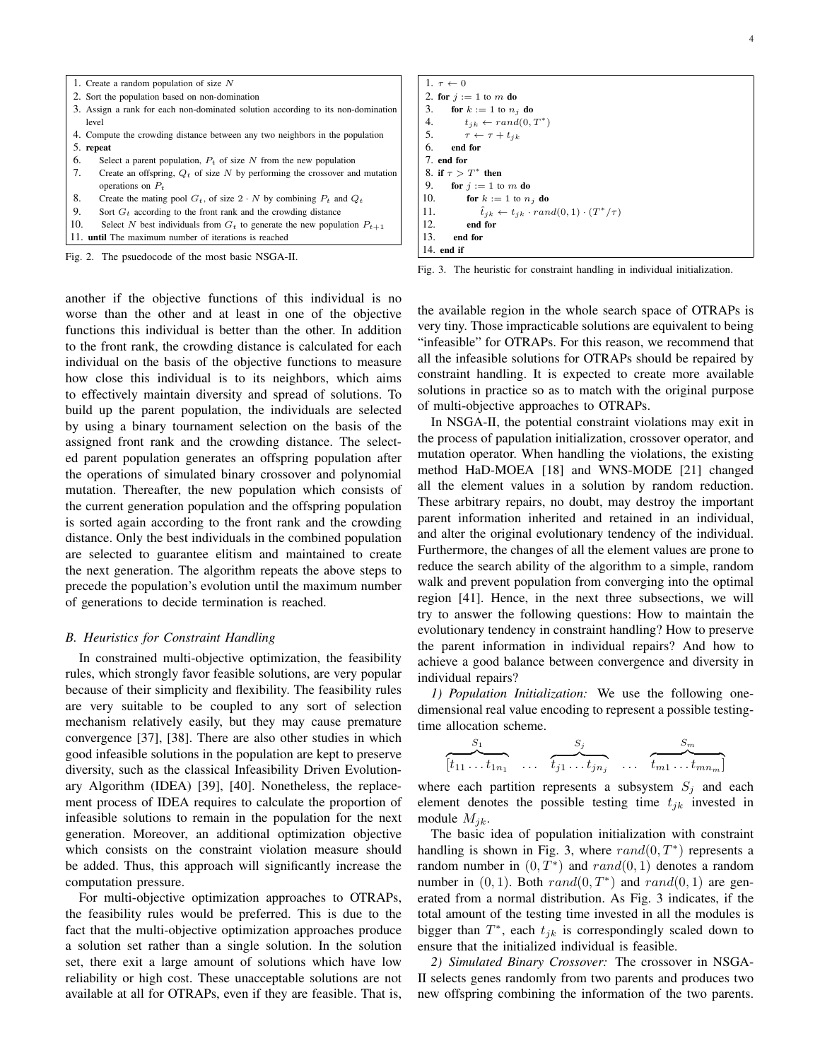- 2. Sort the population based on non-domination
- 3. Assign a rank for each non-dominated solution according to its non-domination level
- 4. Compute the crowding distance between any two neighbors in the population 5. repeat
- 6. Select a parent population, *P<sup>t</sup>* of size *N* from the new population
- 7. Create an offspring, *Q<sup>t</sup>* of size *N* by performing the crossover and mutation operations on *P<sup>t</sup>*
- 8. Create the mating pool  $G_t$ , of size  $2 \cdot N$  by combining  $P_t$  and  $Q_t$
- 9. Sort *G<sup>t</sup>* according to the front rank and the crowding distance
- 10. Select *N* best individuals from  $G_t$  to generate the new population  $P_{t+1}$
- 11. until The maximum number of iterations is reached

Fig. 2. The psuedocode of the most basic NSGA-II.

another if the objective functions of this individual is no worse than the other and at least in one of the objective functions this individual is better than the other. In addition to the front rank, the crowding distance is calculated for each individual on the basis of the objective functions to measure how close this individual is to its neighbors, which aims to effectively maintain diversity and spread of solutions. To build up the parent population, the individuals are selected by using a binary tournament selection on the basis of the assigned front rank and the crowding distance. The selected parent population generates an offspring population after the operations of simulated binary crossover and polynomial mutation. Thereafter, the new population which consists of the current generation population and the offspring population is sorted again according to the front rank and the crowding distance. Only the best individuals in the combined population are selected to guarantee elitism and maintained to create the next generation. The algorithm repeats the above steps to precede the population's evolution until the maximum number of generations to decide termination is reached.

#### *B. Heuristics for Constraint Handling*

In constrained multi-objective optimization, the feasibility rules, which strongly favor feasible solutions, are very popular because of their simplicity and flexibility. The feasibility rules are very suitable to be coupled to any sort of selection mechanism relatively easily, but they may cause premature convergence [37], [38]. There are also other studies in which good infeasible solutions in the population are kept to preserve diversity, such as the classical Infeasibility Driven Evolutionary Algorithm (IDEA) [39], [40]. Nonetheless, the replacement process of IDEA requires to calculate the proportion of infeasible solutions to remain in the population for the next generation. Moreover, an additional optimization objective which consists on the constraint violation measure should be added. Thus, this approach will significantly increase the computation pressure.

For multi-objective optimization approaches to OTRAPs, the feasibility rules would be preferred. This is due to the fact that the multi-objective optimization approaches produce a solution set rather than a single solution. In the solution set, there exit a large amount of solutions which have low reliability or high cost. These unacceptable solutions are not available at all for OTRAPs, even if they are feasible. That is,

```
1. \tau \leftarrow 02. for j := 1 to m do
 3. for k := 1 to n_j do
 4. t_{jk} \leftarrow rand(0, T^*)5. \tau \leftarrow \tau + t_{jk}6. end for
7. end for
 8. if \tau > T^* then
9. for j := 1 to m do<br>10. for k := 1 to n
10. for k := 1 to n_j do<br>11. \hat{t}_{ik} \leftarrow t_{ik} \cdot ran11. \hat{t}_{jk} \leftarrow t_{jk} \cdot rand(0, 1) \cdot (T^*/\tau)12. end for
13. end for
14. end if
```
Fig. 3. The heuristic for constraint handling in individual initialization.

the available region in the whole search space of OTRAPs is very tiny. Those impracticable solutions are equivalent to being "infeasible" for OTRAPs. For this reason, we recommend that all the infeasible solutions for OTRAPs should be repaired by constraint handling. It is expected to create more available solutions in practice so as to match with the original purpose of multi-objective approaches to OTRAPs.

In NSGA-II, the potential constraint violations may exit in the process of papulation initialization, crossover operator, and mutation operator. When handling the violations, the existing method HaD-MOEA [18] and WNS-MODE [21] changed all the element values in a solution by random reduction. These arbitrary repairs, no doubt, may destroy the important parent information inherited and retained in an individual, and alter the original evolutionary tendency of the individual. Furthermore, the changes of all the element values are prone to reduce the search ability of the algorithm to a simple, random walk and prevent population from converging into the optimal region [41]. Hence, in the next three subsections, we will try to answer the following questions: How to maintain the evolutionary tendency in constraint handling? How to preserve the parent information in individual repairs? And how to achieve a good balance between convergence and diversity in individual repairs?

*1) Population Initialization:* We use the following onedimensional real value encoding to represent a possible testingtime allocation scheme.

$$
\overbrace{[t_{11} \ldots t_{1n_1} \ldots t_{j1} \ldots t_{j1} \ldots t_{jn_j} \ldots t_{m1} \ldots t_{mn_m}]}^{S_1}
$$

where each partition represents a subsystem  $S_j$  and each element denotes the possible testing time *tjk* invested in module *Mjk*.

The basic idea of population initialization with constraint handling is shown in Fig. 3, where  $rand(0, T^*)$  represents a random number in  $(0, T^*)$  and  $rand(0, 1)$  denotes a random number in  $(0, 1)$ . Both  $rand(0, T^*)$  and  $rand(0, 1)$  are generated from a normal distribution. As Fig. 3 indicates, if the total amount of the testing time invested in all the modules is bigger than  $T^*$ , each  $t_{jk}$  is correspondingly scaled down to ensure that the initialized individual is feasible.

*2) Simulated Binary Crossover:* The crossover in NSGA-II selects genes randomly from two parents and produces two new offspring combining the information of the two parents.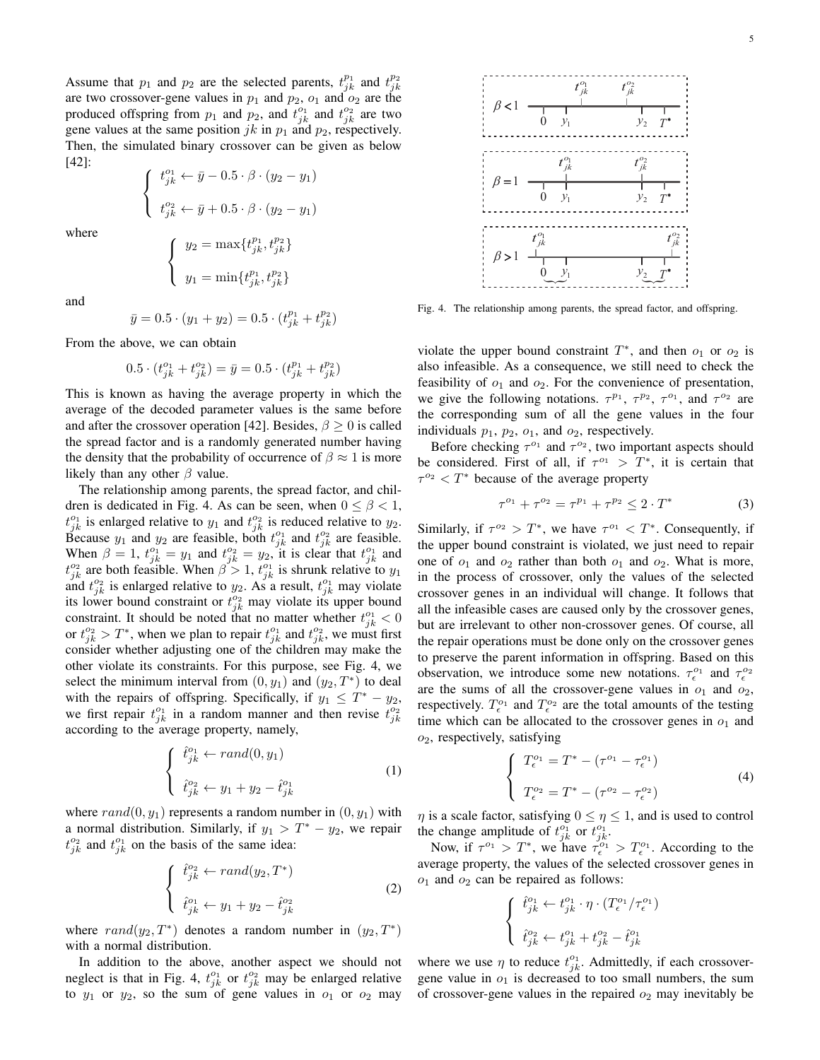Assume that  $p_1$  and  $p_2$  are the selected parents,  $t_{jk}^{p_1}$  and  $t_{jk}^{p_2}$ are two crossover-gene values in  $p_1$  and  $p_2$ ,  $o_1$  and  $o_2$  are the produced offspring from  $p_1$  and  $p_2$ , and  $t_{jk}^{o_1}$  and  $t_{jk}^{o_2}$  are two gene values at the same position  $jk$  in  $p_1$  and  $p_2$ , respectively. Then, the simulated binary crossover can be given as below [42]:

 $t^{o_1}_{jk} \leftarrow \bar{y} - 0.5 \cdot \beta \cdot (y_2 - y_1)$ 

 $t^{o_2}_{jk} \leftarrow \bar{y} + 0.5 \cdot \beta \cdot (y_2 - y_1)$ 

where

$$
\left\{ \begin{array}{l} y_2 = \max\{ t_{jk}^{p_1}, t_{jk}^{p_2} \} \\ \\ y_1 = \min\{ t_{jk}^{p_1}, t_{jk}^{p_2} \} \end{array} \right.
$$

and

$$
\bar{y} = 0.5 \cdot (y_1 + y_2) = 0.5 \cdot (t_{jk}^{p_1} + t_{jk}^{p_2})
$$

From the above, we can obtain

 $\sqrt{ }$  $\frac{1}{2}$  $\mathbf{I}$ 

$$
0.5 \cdot (t_{jk}^{o_1} + t_{jk}^{o_2}) = \bar{y} = 0.5 \cdot (t_{jk}^{p_1} + t_{jk}^{p_2})
$$

This is known as having the average property in which the average of the decoded parameter values is the same before and after the crossover operation [42]. Besides,  $\beta \geq 0$  is called the spread factor and is a randomly generated number having the density that the probability of occurrence of  $\beta \approx 1$  is more likely than any other *β* value.

The relationship among parents, the spread factor, and children is dedicated in Fig. 4. As can be seen, when  $0 \le \beta < 1$ ,  $t^{o_1}_{jk}$  is enlarged relative to  $y_1$  and  $t^{o_2}_{jk}$  is reduced relative to  $y_2$ . Because  $y_1$  and  $y_2$  are feasible, both  $t_{jk}^{o_1}$  and  $t_{jk}^{o_2}$  are feasible. When  $\beta = 1$ ,  $t_{jk}^{\rho_1} = y_1$  and  $t_{jk}^{\rho_2} = y_2$ , it is clear that  $t_{jk}^{\rho_1}$  and  $t^{o_2}_{jk}$  are both feasible. When  $\beta > 1$ ,  $t^{o_1}_{jk}$  is shrunk relative to  $y_1$ and  $t_{jk}^{o_2}$  is enlarged relative to  $y_2$ . As a result,  $t_{jk}^{o_1}$  may violate its lower bound constraint or  $t_{jk}^{\circ 2}$  may violate its upper bound constraint. It should be noted that no matter whether  $t_{jk}^{o_1} < 0$ or  $t_{jk}^{o_2} > T^*$ , when we plan to repair  $t_{jk}^{o_1}$  and  $t_{jk}^{o_2}$ , we must first consider whether adjusting one of the children may make the other violate its constraints. For this purpose, see Fig. 4, we select the minimum interval from  $(0, y_1)$  and  $(y_2, T^*)$  to deal with the repairs of offspring. Specifically, if  $y_1 \leq T^* - y_2$ , we first repair  $t_{jk}^{o_1}$  in a random manner and then revise  $t_{jk}^{o_2}$ according to the average property, namely,

$$
\begin{cases} \hat{t}_{jk}^{o_1} \leftarrow rand(0, y_1) \\ \hat{t}_{jk}^{o_2} \leftarrow y_1 + y_2 - \hat{t}_{jk}^{o_1} \end{cases} \tag{1}
$$

where *rand*(0*, y*1) represents a random number in (0*, y*1) with a normal distribution. Similarly, if  $y_1 > T^* - y_2$ , we repair  $t_{jk}^{o_2}$  and  $t_{jk}^{o_1}$  on the basis of the same idea:

$$
\begin{cases}\n\hat{t}_{jk}^{o_2} \leftarrow rand(y_2, T^*) \\
\hat{t}_{jk}^{o_1} \leftarrow y_1 + y_2 - \hat{t}_{jk}^{o_2}\n\end{cases}
$$
\n(2)

where  $rand(y_2, T^*)$  denotes a random number in  $(y_2, T^*)$ with a normal distribution.

In addition to the above, another aspect we should not neglect is that in Fig. 4,  $t_{jk}^{o_1}$  or  $t_{jk}^{o_2}$  may be enlarged relative to  $y_1$  or  $y_2$ , so the sum of gene values in  $o_1$  or  $o_2$  may



Fig. 4. The relationship among parents, the spread factor, and offspring.

violate the upper bound constraint  $T^*$ , and then  $o_1$  or  $o_2$  is also infeasible. As a consequence, we still need to check the feasibility of  $o_1$  and  $o_2$ . For the convenience of presentation, we give the following notations.  $\tau^{p_1}$ ,  $\tau^{p_2}$ ,  $\tau^{o_1}$ , and  $\tau^{o_2}$  are the corresponding sum of all the gene values in the four individuals  $p_1$ ,  $p_2$ ,  $o_1$ , and  $o_2$ , respectively.

Before checking  $\tau^{o_1}$  and  $\tau^{o_2}$ , two important aspects should be considered. First of all, if  $\tau^{o_1} > T^*$ , it is certain that  $\tau^{o_2}$  <  $T^*$  because of the average property

$$
\tau^{o_1} + \tau^{o_2} = \tau^{p_1} + \tau^{p_2} \le 2 \cdot T^*
$$
 (3)

Similarly, if  $\tau^{o_2} > T^*$ , we have  $\tau^{o_1} < T^*$ . Consequently, if the upper bound constraint is violated, we just need to repair one of  $o_1$  and  $o_2$  rather than both  $o_1$  and  $o_2$ . What is more, in the process of crossover, only the values of the selected crossover genes in an individual will change. It follows that all the infeasible cases are caused only by the crossover genes, but are irrelevant to other non-crossover genes. Of course, all the repair operations must be done only on the crossover genes to preserve the parent information in offspring. Based on this observation, we introduce some new notations.  $\tau_{\epsilon}^{o_1}$  and  $\tau_{\epsilon}^{o_2}$ are the sums of all the crossover-gene values in  $o_1$  and  $o_2$ , respectively.  $T_{\epsilon}^{\sigma_1}$  and  $T_{\epsilon}^{\sigma_2}$  are the total amounts of the testing time which can be allocated to the crossover genes in  $o_1$  and *o*2, respectively, satisfying

$$
\begin{cases}\nT_{\epsilon}^{o_1} = T^* - (\tau^{o_1} - \tau_{\epsilon}^{o_1}) \\
T_{\epsilon}^{o_2} = T^* - (\tau^{o_2} - \tau_{\epsilon}^{o_2})\n\end{cases} \tag{4}
$$

*η* is a scale factor, satisfying  $0 \le \eta \le 1$ , and is used to control the change amplitude of  $t_{jk}^{o_1}$  or  $t_{jk}^{o_1}$ .

Now, if  $\tau^{o_1} > T^*$ , we have  $\tau^{o_1}_{\epsilon} > T^{\circ}_{\epsilon}$ . According to the average property, the values of the selected crossover genes in *o*<sup>1</sup> and *o*<sup>2</sup> can be repaired as follows:

$$
\left\{ \begin{array}{l} \hat{t}^{o_1}_{jk} \leftarrow t^{o_1}_{jk} \cdot \eta \cdot \left(T^{o_1}_\epsilon/\tau^{o_1}_\epsilon\right) \\ \\ \hat{t}^{o_2}_{jk} \leftarrow t^{o_1}_{jk} + t^{o_2}_{jk} - \hat{t}^{o_1}_{jk} \end{array} \right.
$$

where we use  $\eta$  to reduce  $t_{jk}^{\circ}$ . Admittedly, if each crossovergene value in  $o_1$  is decreased to too small numbers, the sum of crossover-gene values in the repaired  $o_2$  may inevitably be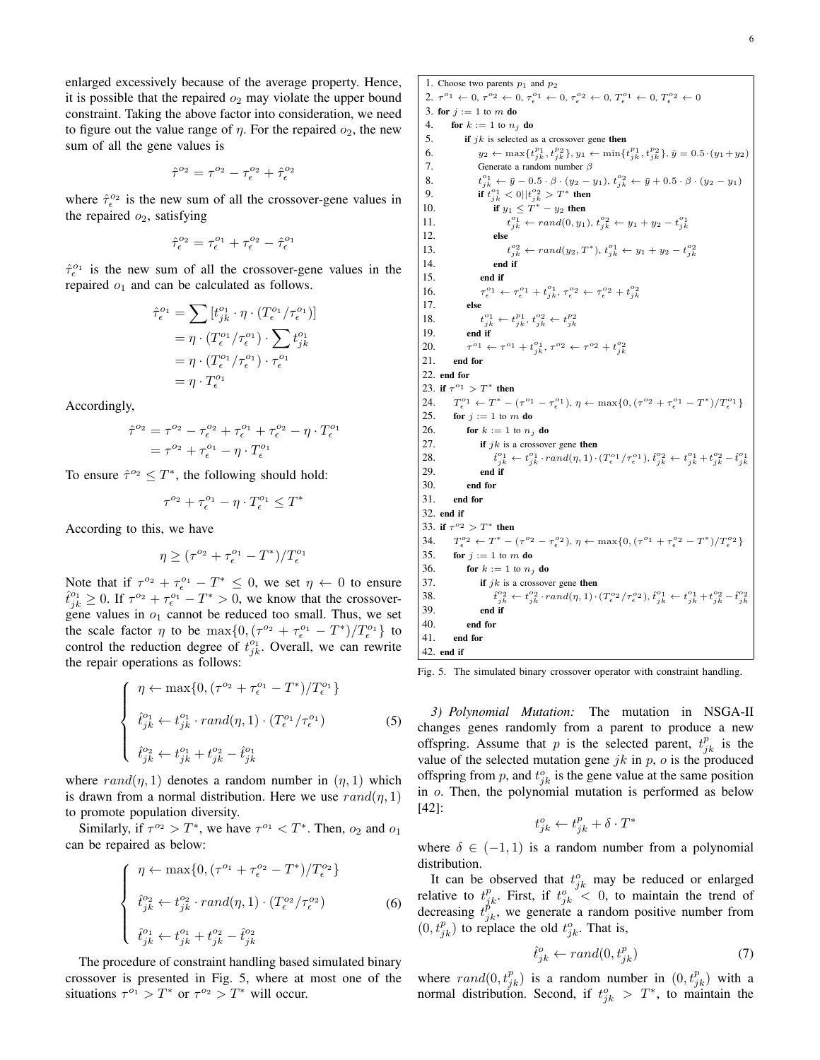enlarged excessively because of the average property. Hence, it is possible that the repaired  $o_2$  may violate the upper bound constraint. Taking the above factor into consideration, we need to figure out the value range of  $\eta$ . For the repaired  $o_2$ , the new sum of all the gene values is

$$
\hat{\tau}^{o_2}=\tau^{o_2}-\tau_\epsilon^{o_2}+\hat{\tau}_\epsilon^{o_2}
$$

where  $\hat{\tau}_{\epsilon}^{\circ}$  is the new sum of all the crossover-gene values in the repaired  $o_2$ , satisfying

$$
\hat{\tau}^{o_2}_\epsilon = \tau^{o_1}_\epsilon + \tau^{o_2}_\epsilon - \hat{\tau}^{o_1}_\epsilon
$$

 $\hat{\tau}_{\epsilon}^{\circ}$  is the new sum of all the crossover-gene values in the repaired  $o_1$  and can be calculated as follows.

$$
\hat{\tau}_{\epsilon}^{o_1} = \sum \left[ t_{jk}^{o_1} \cdot \eta \cdot (T_{\epsilon}^{o_1}/\tau_{\epsilon}^{o_1}) \right]
$$

$$
= \eta \cdot (T_{\epsilon}^{o_1}/\tau_{\epsilon}^{o_1}) \cdot \sum t_{jk}^{o_1}
$$

$$
= \eta \cdot (T_{\epsilon}^{o_1}/\tau_{\epsilon}^{o_1}) \cdot \tau_{\epsilon}^{o_1}
$$

$$
= \eta \cdot T_{\epsilon}^{o_1}
$$

Accordingly,

$$
\hat{\tau}^{o_2} = \tau^{o_2} - \tau_{\epsilon}^{o_2} + \tau_{\epsilon}^{o_1} + \tau_{\epsilon}^{o_2} - \eta \cdot T_{\epsilon}^{o_1} \n= \tau^{o_2} + \tau_{\epsilon}^{o_1} - \eta \cdot T_{\epsilon}^{o_1}
$$

To ensure  $\hat{\tau}^{\circ} \leq T^*$ , the following should hold:

$$
\tau^{o_2} + \tau_{\epsilon}^{o_1} - \eta \cdot T_{\epsilon}^{o_1} \leq T^*
$$

According to this, we have

$$
\eta \geq (\tau^{o_2} + \tau^{o_1}_\epsilon - T^*)/T^{o_1}_\epsilon
$$

Note that if  $\tau^{o_2} + \tau_{\epsilon}^{o_1} - T^* \leq 0$ , we set  $\eta \leftarrow 0$  to ensure  $\hat{t}^{o_1}_{jk} \geq 0$ . If  $\tau^{o_2} + \tau^{o_1}_\epsilon - T^* > 0$ , we know that the crossovergene values in  $o_1$  cannot be reduced too small. Thus, we set the scale factor *η* to be  $\max\{0, (\tau^{o_2} + \tau_{\epsilon}^{o_1} - T^*)/T_{\epsilon}^{o_1}\}\)$  to control the reduction degree of  $t_{jk}^{o_1}$ . Overall, we can rewrite the repair operations as follows:

$$
\begin{cases}\n\eta \leftarrow \max\{0, (\tau^{o_2} + \tau_{\epsilon}^{o_1} - T^*)/T_{\epsilon}^{o_1}\} \\
\hat{t}_{jk}^{o_1} \leftarrow t_{jk}^{o_1} \cdot rand(\eta, 1) \cdot (T_{\epsilon}^{o_1}/\tau_{\epsilon}^{o_1}) \\
\hat{t}_{jk}^{o_2} \leftarrow t_{jk}^{o_1} + t_{jk}^{o_2} - \hat{t}_{jk}^{o_1}\n\end{cases} \tag{5}
$$

where  $rand(\eta, 1)$  denotes a random number in  $(\eta, 1)$  which is drawn from a normal distribution. Here we use *rand*(*η,* 1) to promote population diversity.

Similarly, if  $\tau^{o_2} > T^*$ , we have  $\tau^{o_1} < T^*$ . Then,  $o_2$  and  $o_1$ can be repaired as below:

$$
\begin{cases}\n\eta \leftarrow \max\{0, (\tau^{o_1} + \tau_{\epsilon}^{o_2} - T^*)/T_{\epsilon}^{o_2}\} \\
\hat{t}_{jk}^{o_2} \leftarrow t_{jk}^{o_2} \cdot rand(\eta, 1) \cdot (T_{\epsilon}^{o_2}/\tau_{\epsilon}^{o_2}) \\
\hat{t}_{jk}^{o_1} \leftarrow t_{jk}^{o_1} + t_{jk}^{o_2} - \hat{t}_{jk}^{o_2}\n\end{cases} \tag{6}
$$

The procedure of constraint handling based simulated binary crossover is presented in Fig. 5, where at most one of the situations  $\tau^{o_1} > T^*$  or  $\tau^{o_2} > T^*$  will occur.

```
1. Choose two parents p1 and p2
  2. \ \tau^{\circ 1} \leftarrow 0, \ \tau^{\circ 2} \leftarrow 0, \ \tau^{\circ 1}_{\epsilon} \leftarrow 0, \ \tau^{\circ 2}_{\epsilon} \leftarrow 0, \ T^{\circ 1}_{\epsilon} \leftarrow 0, \ T^{\circ 2}_{\epsilon} \leftarrow 03. for j := 1 to m do
 4. for k := 1 to n_j do
 5. if jk is selected as a crossover gene then
  6. y_2 \leftarrow \max\{t_{jk}^{p_1}, t_{jk}^{p_2}\}, y_1 \leftarrow \min\{t_{jk}^{p_1}, t_{jk}^{p_2}\}, \bar{y} = 0.5 \cdot (y_1 + y_2)7. Generate a random number β
 8. t
                           \hat{y}_{jk}^{01} \leftarrow \bar{y} - 0.5 \cdot \beta \cdot (y_2 - y_1), t_{jk}^{02} \leftarrow \bar{y} + 0.5 \cdot \beta \cdot (y_2 - y_1)9. if t_{jk}^{o_1} < 0 \rvert |t_{jk}^{o_2} > T^* then
 10. if y_1 \leq T^* - y_2 then
11. t
                                       o<sub>1</sub>
jk ← rand(0, y<sub>1</sub>), t_{jk}^{o_2} ← y<sub>1</sub> + y<sub>2</sub> − t_{jk}^{o_1}12.13. t
                                       o<sub>2</sub>
e
k
c
rand(y<sub>2</sub>, T<sup>*</sup>), t_{jk}^{o_1}
k
− y<sub>1</sub> + y<sub>2</sub> - t_{jk}^{o_2}14.15.16. τ
                            \tau_{\epsilon}^{o_1} \leftarrow \tau_{\epsilon}^{o_1} + t_{jk}^{o_1}, \tau_{\epsilon}^{o_2} \leftarrow \tau_{\epsilon}^{o_2} + t_{jk}^{o_2}17.18. t
                            t_{jk}^{o_1} \leftarrow t_{jk}^{p_1}, t_{jk}^{o_2} \leftarrow t_{jk}^{p_2}19. end if
20. τ
                       \sigma^{01} \leftarrow \tau^{01} + t_{jk}^{01}, \tau^{02} \leftarrow \tau^{02} + t_{jk}^{02}21. end for
22. end for
 23. if \tau^{\circ}<sup>1</sup> > T^* then
24. T
                 T_{\epsilon}^{\circ} \leftarrow T^* - (\tau^{\circ} - \tau_{\epsilon}^{\circ} \cdot), \, \eta \leftarrow \max\{0, (\tau^{\circ} - \tau_{\epsilon}^{\circ} \cdot - T^*) / T_{\epsilon}^{\circ} \cdot\}25. for j := 1 to m do
26. for k := 1 to n_j do
27. if jk is a crossover gene then
28. tˆ
                                  t_{jk}^{o_1} \leftarrow t_{jk}^{o_1} \cdot rand(\eta, 1) \cdot (T_{\epsilon}^{o_1}/\tau_{\epsilon}^{o_1}), \hat{t}_{jk}^{o_2} \leftarrow t_{jk}^{o_1} + t_{jk}^{o_2} - \hat{t}_{jk}^{o_1}29. end if
30. end for
31. end for
32. end if
 33. if \tau^{\circ}2 > T^* then
34. T
                 T_{\epsilon}^{\sigma_2} \leftarrow T^* - (\tau^{\sigma_2} - \tau_{\epsilon}^{\sigma_2}), \eta \leftarrow \max\{0, (\tau^{\sigma_1} + \tau_{\epsilon}^{\sigma_2} - T^*)/T_{\epsilon}^{\sigma_2}\}\35. for j := 1 to m do
36. for k := 1 to n_j do
37. if jk is a crossover gene then
38. tˆ
                                  t_{jk}^{o_2} \leftarrow t_{jk}^{o_2} \cdot rand(\eta, 1) \cdot (T_{\epsilon}^{o_2}/\tau_{\epsilon}^{o_2}), \hat{t}_{jk}^{o_1} \leftarrow t_{jk}^{o_1} + t_{jk}^{o_2} - \hat{t}_{jk}^{o_2}39.
40. end for
41. end for
42. end if
```
Fig. 5. The simulated binary crossover operator with constraint handling.

*3) Polynomial Mutation:* The mutation in NSGA-II changes genes randomly from a parent to produce a new offspring. Assume that *p* is the selected parent,  $t_{jk}^p$  is the value of the selected mutation gene  $jk$  in  $p$ ,  $o$  is the produced offspring from *p*, and  $t_{jk}^o$  is the gene value at the same position in *o*. Then, the polynomial mutation is performed as below [42]:

$$
t_{jk}^o \leftarrow t_{jk}^p + \delta \cdot T^*
$$

where  $\delta \in (-1, 1)$  is a random number from a polynomial distribution.

It can be observed that  $t_{jk}^o$  may be reduced or enlarged relative to  $t_{jk}^p$ . First, if  $t_{jk}^o \leq 0$ , to maintain the trend of decreasing  $t_{jk}^{p^n}$ , we generate a random positive number from  $(0, t_{jk}^p)$  to replace the old  $t_{jk}^o$ . That is,

$$
\hat{t}_{jk}^o \leftarrow rand(0, t_{jk}^p) \tag{7}
$$

where  $rand(0, t_{jk}^p)$  is a random number in  $(0, t_{jk}^p)$  with a normal distribution. Second, if  $t_{jk}^o > T^*$ , to maintain the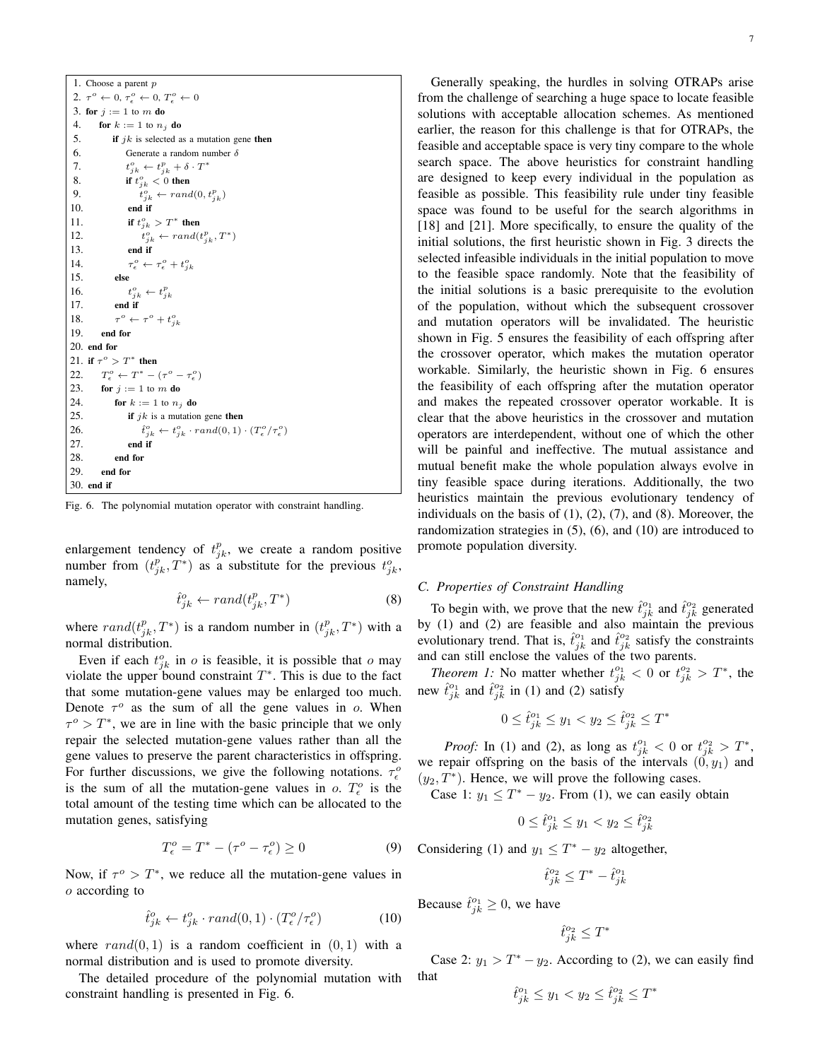| 1. Choose a parent $p$                                                                                 |
|--------------------------------------------------------------------------------------------------------|
| 2. $\tau^o \leftarrow 0, \tau^o_{\epsilon} \leftarrow 0, T^o_{\epsilon} \leftarrow 0$                  |
| 3. for $j := 1$ to m do                                                                                |
| 4.<br>for $k := 1$ to $n_i$ do                                                                         |
| 5.<br>if $jk$ is selected as a mutation gene then                                                      |
| 6.<br>Generate a random number $\delta$                                                                |
| 7.<br>$t_{jk}^o \leftarrow t_{jk}^p + \delta \cdot T^*$                                                |
| 8.<br>if $t_{ik}^o < 0$ then                                                                           |
| 9.<br>$t_{jk}^o \leftarrow rand(0, t_{jk}^p)$                                                          |
| 10.<br>end if                                                                                          |
| 11.<br>if $t_{ik}^o > T^*$ then                                                                        |
| $t_{jk}^o \leftarrow rand(t_{jk}^p, T^*)$<br>12.                                                       |
| 13.<br>end if                                                                                          |
| 14.<br>$\tau_{\epsilon}^o \leftarrow \tau_{\epsilon}^o + t_{ik}^o$                                     |
| 15.<br>else                                                                                            |
| 16.<br>$t_{ik}^o \leftarrow t_{ik}^p$                                                                  |
| 17.<br>end if                                                                                          |
| $\tau^o \leftarrow \tau^o + t^o_{jk}$<br>18.                                                           |
| 19.<br>end for                                                                                         |
| 20. end for                                                                                            |
| 21. if $\tau^o > T^*$ then                                                                             |
| $T_c^o \leftarrow T^* - (\tau^o - \tau_c^o)$<br>22.                                                    |
| 23.<br>for $j := 1$ to m do                                                                            |
| 24.<br>for $k := 1$ to $n_i$ do                                                                        |
| 25.<br>if $jk$ is a mutation gene then                                                                 |
| $\hat{t}_{ik}^o \leftarrow t_{ik}^o \cdot rand(0,1) \cdot (T_{\epsilon}^o / \tau_{\epsilon}^o)$<br>26. |
| 27.<br>end if                                                                                          |
| 28.<br>end for                                                                                         |
| 29.<br>end for                                                                                         |
| $30.$ end if                                                                                           |
|                                                                                                        |

Fig. 6. The polynomial mutation operator with constraint handling.

enlargement tendency of  $t_{jk}^p$ , we create a random positive number from  $(t_{jk}^p, T^*)$  as a substitute for the previous  $t_{jk}^o$ , namely,

$$
\hat{t}_{jk}^o \leftarrow rand(t_{jk}^p, T^*)
$$
 (8)

where  $rand(t_{jk}^p, T^*)$  is a random number in  $(t_{jk}^p, T^*)$  with a normal distribution.

Even if each  $t_{jk}^o$  in *o* is feasible, it is possible that *o* may violate the upper bound constraint *T ∗* . This is due to the fact that some mutation-gene values may be enlarged too much. Denote  $\tau^o$  as the sum of all the gene values in  $o$ . When  $\tau^o > T^*$ , we are in line with the basic principle that we only repair the selected mutation-gene values rather than all the gene values to preserve the parent characteristics in offspring. For further discussions, we give the following notations.  $\tau_{\epsilon}^o$ is the sum of all the mutation-gene values in *o*.  $T_{\epsilon}^{o}$  is the total amount of the testing time which can be allocated to the mutation genes, satisfying

$$
T_{\epsilon}^{o} = T^{*} - (\tau^{o} - \tau_{\epsilon}^{o}) \ge 0
$$
 (9)

Now, if  $\tau^o > T^*$ , we reduce all the mutation-gene values in *o* according to

$$
\hat{t}_{jk}^o \leftarrow t_{jk}^o \cdot rand(0,1) \cdot (T_{\epsilon}^o / \tau_{\epsilon}^o)
$$
 (10)

where  $rand(0, 1)$  is a random coefficient in  $(0, 1)$  with a normal distribution and is used to promote diversity.

The detailed procedure of the polynomial mutation with constraint handling is presented in Fig. 6.

7

Generally speaking, the hurdles in solving OTRAPs arise from the challenge of searching a huge space to locate feasible solutions with acceptable allocation schemes. As mentioned earlier, the reason for this challenge is that for OTRAPs, the feasible and acceptable space is very tiny compare to the whole search space. The above heuristics for constraint handling are designed to keep every individual in the population as feasible as possible. This feasibility rule under tiny feasible space was found to be useful for the search algorithms in [18] and [21]. More specifically, to ensure the quality of the initial solutions, the first heuristic shown in Fig. 3 directs the selected infeasible individuals in the initial population to move to the feasible space randomly. Note that the feasibility of the initial solutions is a basic prerequisite to the evolution of the population, without which the subsequent crossover and mutation operators will be invalidated. The heuristic shown in Fig. 5 ensures the feasibility of each offspring after the crossover operator, which makes the mutation operator workable. Similarly, the heuristic shown in Fig. 6 ensures the feasibility of each offspring after the mutation operator and makes the repeated crossover operator workable. It is clear that the above heuristics in the crossover and mutation operators are interdependent, without one of which the other will be painful and ineffective. The mutual assistance and mutual benefit make the whole population always evolve in tiny feasible space during iterations. Additionally, the two heuristics maintain the previous evolutionary tendency of individuals on the basis of (1), (2), (7), and (8). Moreover, the randomization strategies in (5), (6), and (10) are introduced to promote population diversity.

#### *C. Properties of Constraint Handling*

To begin with, we prove that the new  $\hat{t}^{o_1}_{jk}$  and  $\hat{t}^{o_2}_{jk}$  generated by (1) and (2) are feasible and also maintain the previous evolutionary trend. That is,  $\hat{t}_{jk}^{\circ_1}$  and  $\hat{t}_{jk}^{\circ_2}$  satisfy the constraints and can still enclose the values of the two parents.

*Theorem 1:* No matter whether  $t_{jk}^{o_1} < 0$  or  $t_{jk}^{o_2} > T^*$ , the new  $\hat{t}_{jk}^{o_1}$  and  $\hat{t}_{jk}^{o_2}$  in (1) and (2) satisfy

$$
0 \le \hat{t}_{jk}^{o_1} \le y_1 < y_2 \le \hat{t}_{jk}^{o_2} \le T^*
$$

*Proof:* In (1) and (2), as long as  $t_{jk}^{o_1} < 0$  or  $t_{jk}^{o_2} > T^*$ , we repair offspring on the basis of the intervals  $(0, y_1)$  and  $(y_2, T^*)$ . Hence, we will prove the following cases.

Case 1:  $y_1 \leq T^* - y_2$ . From (1), we can easily obtain

$$
0 \le \hat{t}_{jk}^{o_1} \le y_1 < y_2 \le \hat{t}_{jk}^{o_2}
$$

Considering (1) and 
$$
y_1 \leq T^* - y_2
$$
 altogether,

$$
\hat{t}_{jk}^{o_2} \le T^* - \hat{t}_{jk}^{o_1}
$$

Because  $\hat{t}_{jk}^{o_1} \geq 0$ , we have

$$
\hat{t}_{jk}^{o_2} \le T^*
$$

Case 2:  $y_1 > T^* - y_2$ . According to (2), we can easily find that

$$
\hat{t}_{jk}^{o_1} \le y_1 < y_2 \le \hat{t}_{jk}^{o_2} \le T^*
$$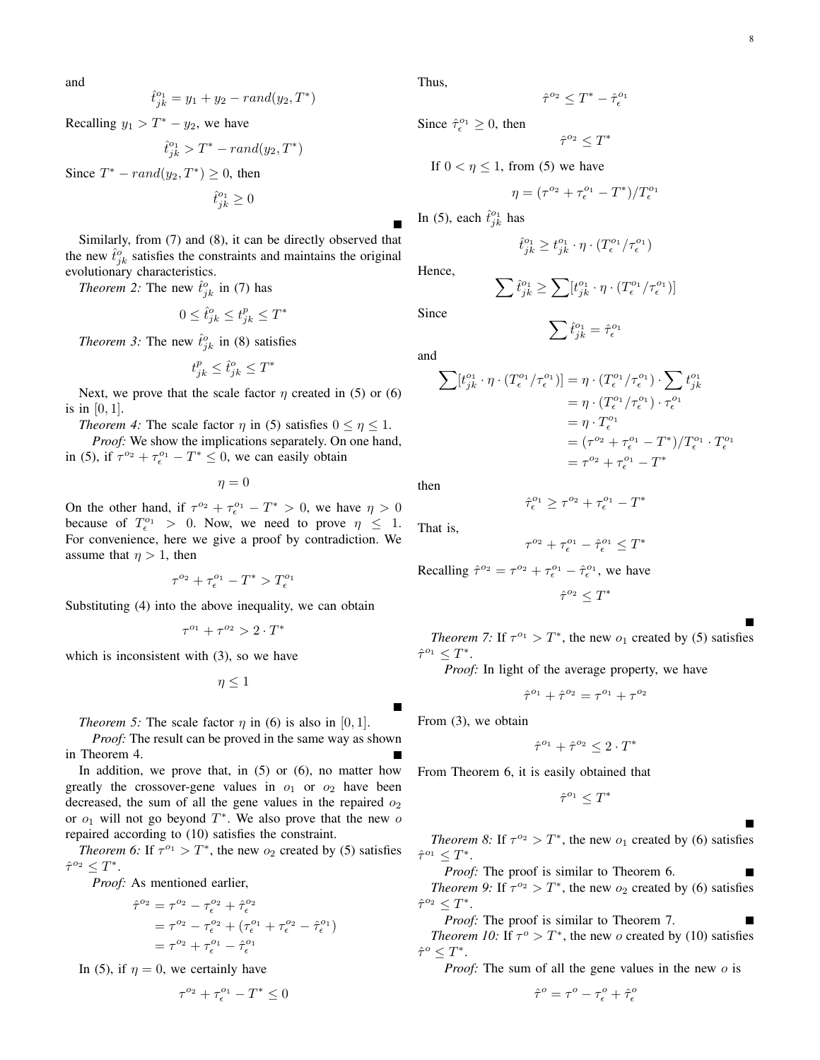and

$$
\hat{t}_{jk}^{o_1} = y_1 + y_2 - rand(y_2, T^*)
$$

Recalling  $y_1 > T^* - y_2$ , we have

$$
\hat{t}^{o_1}_{jk} > T^* - rand(y_2, T^*)
$$

Since  $T^*$  *−*  $rand(y_2, T^*) \geq 0$ , then

 $\hat{t}^{o_1}_{jk} \geq 0$ 

Similarly, from (7) and (8), it can be directly observed that the new  $\hat{t}_{jk}^o$  satisfies the constraints and maintains the original evolutionary characteristics.

*Theorem 2:* The new  $\hat{t}^o_{jk}$  in (7) has

$$
0\leq \widehat{t}^o_{jk}\leq t^p_{jk}\leq T^*
$$

*Theorem 3:* The new  $\hat{t}_{jk}^o$  in (8) satisfies

$$
t^p_{jk} \leq \hat{t}^o_{jk} \leq T^*
$$

Next, we prove that the scale factor  $\eta$  created in (5) or (6) is in [0*,* 1].

*Theorem 4:* The scale factor  $\eta$  in (5) satisfies  $0 \leq \eta \leq 1$ .

*Proof:* We show the implications separately. On one hand, in (5), if  $\tau^{\circ}$ <sup>2</sup> +  $\tau^{\circ}$ <sup>0</sup> -  $T^* \leq 0$ , we can easily obtain

 $\eta = 0$ 

On the other hand, if  $\tau^{o_2} + \tau^{o_1} - T^* > 0$ , we have  $\eta > 0$ because of  $T_{\epsilon}^{o_1} > 0$ . Now, we need to prove  $\eta \leq 1$ . For convenience, here we give a proof by contradiction. We assume that  $\eta > 1$ , then

$$
\tau^{o_2}+\tau_\epsilon^{o_1}-T^*>T_\epsilon^{o_1}
$$

Substituting (4) into the above inequality, we can obtain

$$
\tau^{o_1} + \tau^{o_2} > 2\cdot T^*
$$

which is inconsistent with (3), so we have

 $n \leq 1$ 

*Theorem 5:* The scale factor  $\eta$  in (6) is also in [0, 1].

*Proof:* The result can be proved in the same way as shown in Theorem 4.

In addition, we prove that, in  $(5)$  or  $(6)$ , no matter how greatly the crossover-gene values in  $o_1$  or  $o_2$  have been decreased, the sum of all the gene values in the repaired  $o_2$ or *o*<sup>1</sup> will not go beyond *T ∗* . We also prove that the new *o* repaired according to (10) satisfies the constraint.

*Theorem 6:* If  $\tau^{o_1} > T^*$ , the new  $o_2$  created by (5) satisfies  $\hat{\tau}^{\circ} \leq T^*$ .

*Proof:* As mentioned earlier,

$$
\hat{\tau}^{o_2} = \tau^{o_2} - \tau_{\epsilon}^{o_2} + \hat{\tau}_{\epsilon}^{o_2}
$$
\n
$$
= \tau^{o_2} - \tau_{\epsilon}^{o_2} + (\tau_{\epsilon}^{o_1} + \tau_{\epsilon}^{o_2} - \hat{\tau}_{\epsilon}^{o_1})
$$
\n
$$
= \tau^{o_2} + \tau_{\epsilon}^{o_1} - \hat{\tau}_{\epsilon}^{o_1}
$$

In (5), if  $\eta = 0$ , we certainly have

$$
\tau^{o_2}+\tau_\epsilon^{o_1}-T^*\leq 0
$$

Thus,

Hence,

Since

and

$$
\label{eq:tau02} \hat{\tau}^{o_2} \leq T^* - \hat{\tau}_{\epsilon}^{o_1}
$$
 Since  
  $\hat{\tau}_{\epsilon}^{o_1} \geq 0,$  then

$$
\hat{\tau}^{o_2} \leq T
$$

If  $0 < \eta \leq 1$ , from (5) we have

$$
\eta = (\tau^{o_2} + \tau_{\epsilon}^{o_1} - T^*)/T_{\epsilon}^{o_1}
$$

*∗*

In (5), each  $\hat{t}^{\circ}$ <sub>jk</sub> has

 $\hat{t}_{jk}^{o_1} \geq t_{jk}^{o_1} \cdot \eta \cdot (T_{\epsilon}^{o_1}/\tau_{\epsilon}^{o_1})$ 

$$
\sum \widehat{t}_{jk}^{o_1} \geq \sum [t_{jk}^{o_1} \cdot \eta \cdot (T_{\epsilon}^{o_1} / \tau_{\epsilon}^{o_1})]
$$

$$
\sum \widehat{t}^{o_1}_{jk} = \widehat{\tau}^{o_1}_\epsilon
$$

$$
\sum [t_{jk}^{o_1} \cdot \eta \cdot (T_{\epsilon}^{o_1}/\tau_{\epsilon}^{o_1})] = \eta \cdot (T_{\epsilon}^{o_1}/\tau_{\epsilon}^{o_1}) \cdot \sum \tau_{jk}^{o_1} \n= \eta \cdot (T_{\epsilon}^{o_1}/\tau_{\epsilon}^{o_1}) \cdot \tau_{\epsilon}^{o_1} \n= \eta \cdot T_{\epsilon}^{o_1} \n= (\tau^{o_2} + \tau_{\epsilon}^{o_1} - T^*) / T_{\epsilon}^{o_1} \cdot T_{\epsilon}^{o_1} \n= \tau^{o_2} + \tau_{\epsilon}^{o_1} - T^*
$$

then

That is,

$$
\hat{\tau}_{\epsilon}^{o_1} \geq \tau^{o_2} + \tau_{\epsilon}^{o_1} - T^*
$$

 $\tau^{o_2} + \tau_{\epsilon}^{o_1} - \hat{\tau}_{\epsilon}^{o_1} \leq T^*$ Recalling  $\hat{\tau}^{\circ} = \tau^{\circ} + \tau_{\epsilon}^{\circ} - \hat{\tau}_{\epsilon}^{\circ}$ , we have

$$
\hat{\tau}^{o_2} \leq T
$$

*∗*

*Theorem 7:* If  $\tau^{o_1} > T^*$ , the new  $o_1$  created by (5) satisfies  $\hat{\tau}^{o_1} \leq T^*$ .

*Proof:* In light of the average property, we have

$$
\hat{\tau}^{o_1} + \hat{\tau}^{o_2} = \tau^{o_1} + \tau^{o_2}
$$

From (3), we obtain

$$
\hat{\tau}^{o_1} + \hat{\tau}^{o_2} \le 2 \cdot T^*
$$

From Theorem 6, it is easily obtained that

$$
\hat{\tau}^{o_1}\leq T^*
$$

*Theorem 8:* If  $\tau^{o_2} > T^*$ , the new  $o_1$  created by (6) satisfies  $\hat{\tau}^{o_1} \leq T^*$ .

*Proof:* The proof is similar to Theorem 6. *Theorem 9:* If  $\tau^{o_2} > T^*$ , the new  $o_2$  created by (6) satisfies  $\hat{\tau}^{\circ} \leq T^*$ .

*Proof:* The proof is similar to Theorem 7. *Theorem 10:* If  $\tau^{\circ} > T^*$ , the new *o* created by (10) satisfies  $\hat{\tau}^o \leq T^*$ .

*Proof:* The sum of all the gene values in the new *o* is

$$
\hat{\tau}^o = \tau^o - \tau^o_{\epsilon} + \hat{\tau}^o_{\epsilon}
$$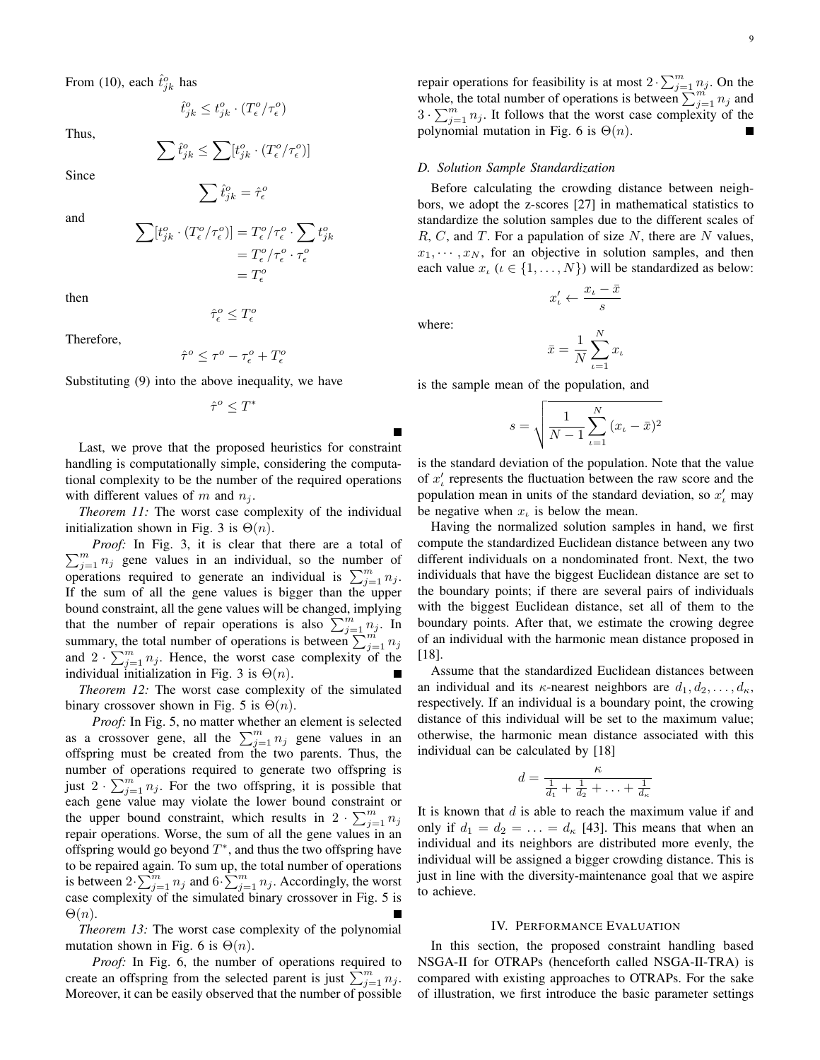From (10), each  $\hat{t}_{jk}^o$  has

$$
\hat{t}^o_{jk} \leq t^o_{jk} \cdot (T^o_\epsilon/\tau^o_\epsilon)
$$

Thus,

$$
\sum \widehat{t}_{jk}^o \leq \sum [t_{jk}^o \cdot (T_{\epsilon}^o/\tau_{\epsilon}^o)]
$$

Since

and

 $\sum \hat{t}_{jk}^o = \hat{\tau}_{\epsilon}^o$ 

$$
\sum [t_{jk}^{o} \cdot (T_{\epsilon}^{o}/\tau_{\epsilon}^{o})] = T_{\epsilon}^{o}/\tau_{\epsilon}^{o} \cdot \sum t_{jk}^{o}
$$

$$
= T_{\epsilon}^{o}/\tau_{\epsilon}^{o} \cdot \tau_{\epsilon}^{o}
$$

$$
= T_{\epsilon}^{o}
$$

then

$$
\hat{\tau}^o_\epsilon \leq T^o_\epsilon
$$

Therefore,

$$
\hat{\tau}^o \leq \tau^o - \tau^o_{\epsilon} + T^o_{\epsilon}
$$

Substituting (9) into the above inequality, we have

 $\hat{\tau}^o \leq T^*$ 

Last, we prove that the proposed heuristics for constraint handling is computationally simple, considering the computational complexity to be the number of the required operations with different values of  $m$  and  $n_j$ .

*Theorem 11:* The worst case complexity of the individual initialization shown in Fig. 3 is  $\Theta(n)$ .

 $\sum_{j=1}^{m} n_j$  gene values in an individual, so the number of *Proof:* In Fig. 3, it is clear that there are a total of operations required to generate an individual is  $\sum_{j=1}^{m} n_j$ . If the sum of all the gene values is bigger than the upper bound constraint, all the gene values will be changed, implying that the number of repair operations is also  $\sum_{j=1}^{m} n_j$ . In summary, the total number of operations is between  $\sum_{j=1}^{m} n_j$ and  $2 \cdot \sum_{j=1}^{m} n_j$ . Hence, the worst case complexity of the individual initialization in Fig. 3 is Θ(*n*).

*Theorem 12:* The worst case complexity of the simulated binary crossover shown in Fig. 5 is  $\Theta(n)$ .

*Proof:* In Fig. 5, no matter whether an element is selected as a crossover gene, all the  $\sum_{j=1}^{m} n_j$  gene values in an offspring must be created from the two parents. Thus, the number of operations required to generate two offspring is just  $2 \cdot \sum_{j=1}^{m} n_j$ . For the two offspring, it is possible that each gene value may violate the lower bound constraint or the upper bound constraint, which results in  $2 \cdot \sum_{j=1}^{m} n_j$ repair operations. Worse, the sum of all the gene values in an offspring would go beyond *T ∗* , and thus the two offspring have to be repaired again. To sum up, the total number of operations is between  $2 \cdot \sum_{j=1}^{m} n_j$  and  $6 \cdot \sum_{j=1}^{m} n_j$ . Accordingly, the worst case complexity of the simulated binary crossover in Fig. 5 is Θ(*n*).

*Theorem 13:* The worst case complexity of the polynomial mutation shown in Fig. 6 is  $\Theta(n)$ .

*Proof:* In Fig. 6, the number of operations required to create an offspring from the selected parent is just  $\sum_{j=1}^{m} n_j$ . Moreover, it can be easily observed that the number of possible

repair operations for feasibility is at most  $2 \cdot \sum_{j=1}^{m} n_j$ . On the whole, the total number of operations is between  $\sum_{j=1}^{j} n_j$  and  $3 \cdot \sum_{j=1}^{m} n_j$ . It follows that the worst case complexity of the polynomial mutation in Fig. 6 is Θ(*n*).

#### *D. Solution Sample Standardization*

Before calculating the crowding distance between neighbors, we adopt the z-scores [27] in mathematical statistics to standardize the solution samples due to the different scales of *R*, *C*, and *T*. For a papulation of size *N*, there are *N* values,  $x_1, \dots, x_N$ , for an objective in solution samples, and then each value  $x_i$  ( $i \in \{1, ..., N\}$ ) will be standardized as below:

where:

$$
\bar{x} = \frac{1}{N} \sum_{\iota=1}^{N} x_{\iota}
$$

 $x'_\iota \leftarrow \frac{x_\iota - \bar{x}}{a}$ *s*

is the sample mean of the population, and

$$
s = \sqrt{\frac{1}{N-1} \sum_{\iota=1}^{N} (x_{\iota} - \bar{x})^2}
$$

is the standard deviation of the population. Note that the value of  $x'$  represents the fluctuation between the raw score and the population mean in units of the standard deviation, so  $x'$  may be negative when  $x_i$  is below the mean.

Having the normalized solution samples in hand, we first compute the standardized Euclidean distance between any two different individuals on a nondominated front. Next, the two individuals that have the biggest Euclidean distance are set to the boundary points; if there are several pairs of individuals with the biggest Euclidean distance, set all of them to the boundary points. After that, we estimate the crowing degree of an individual with the harmonic mean distance proposed in [18].

Assume that the standardized Euclidean distances between an individual and its *κ*-nearest neighbors are  $d_1, d_2, \ldots, d_k$ , respectively. If an individual is a boundary point, the crowing distance of this individual will be set to the maximum value; otherwise, the harmonic mean distance associated with this individual can be calculated by [18]

$$
d = \frac{\kappa}{\frac{1}{d_1} + \frac{1}{d_2} + \ldots + \frac{1}{d_\kappa}}
$$

It is known that *d* is able to reach the maximum value if and only if  $d_1 = d_2 = \ldots = d_{\kappa}$  [43]. This means that when an individual and its neighbors are distributed more evenly, the individual will be assigned a bigger crowding distance. This is just in line with the diversity-maintenance goal that we aspire to achieve.

#### IV. PERFORMANCE EVALUATION

In this section, the proposed constraint handling based NSGA-II for OTRAPs (henceforth called NSGA-II-TRA) is compared with existing approaches to OTRAPs. For the sake of illustration, we first introduce the basic parameter settings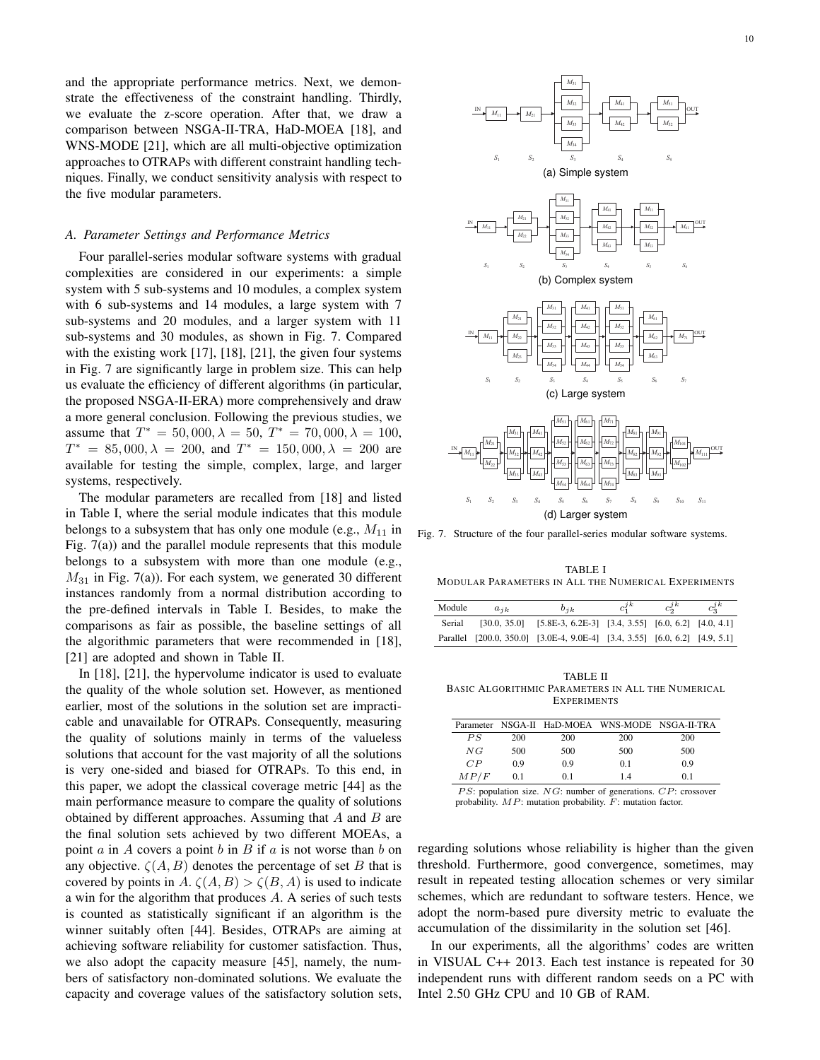and the appropriate performance metrics. Next, we demonstrate the effectiveness of the constraint handling. Thirdly, we evaluate the z-score operation. After that, we draw a comparison between NSGA-II-TRA, HaD-MOEA [18], and WNS-MODE [21], which are all multi-objective optimization approaches to OTRAPs with different constraint handling techniques. Finally, we conduct sensitivity analysis with respect to the five modular parameters.

#### *A. Parameter Settings and Performance Metrics*

Four parallel-series modular software systems with gradual complexities are considered in our experiments: a simple system with 5 sub-systems and 10 modules, a complex system with 6 sub-systems and 14 modules, a large system with 7 sub-systems and 20 modules, and a larger system with 11 sub-systems and 30 modules, as shown in Fig. 7. Compared with the existing work [17], [18], [21], the given four systems in Fig. 7 are significantly large in problem size. This can help us evaluate the efficiency of different algorithms (in particular, the proposed NSGA-II-ERA) more comprehensively and draw a more general conclusion. Following the previous studies, we assume that  $T^* = 50,000, \lambda = 50, T^* = 70,000, \lambda = 100,$  $T^* = 85,000, \lambda = 200$ , and  $T^* = 150,000, \lambda = 200$  are available for testing the simple, complex, large, and larger systems, respectively.

The modular parameters are recalled from [18] and listed in Table I, where the serial module indicates that this module belongs to a subsystem that has only one module (e.g.,  $M_{11}$  in Fig. 7(a)) and the parallel module represents that this module belongs to a subsystem with more than one module (e.g., *M*<sup>31</sup> in Fig. 7(a)). For each system, we generated 30 different instances randomly from a normal distribution according to the pre-defined intervals in Table I. Besides, to make the comparisons as fair as possible, the baseline settings of all the algorithmic parameters that were recommended in [18], [21] are adopted and shown in Table II.

In [18], [21], the hypervolume indicator is used to evaluate the quality of the whole solution set. However, as mentioned earlier, most of the solutions in the solution set are impracticable and unavailable for OTRAPs. Consequently, measuring the quality of solutions mainly in terms of the valueless solutions that account for the vast majority of all the solutions is very one-sided and biased for OTRAPs. To this end, in this paper, we adopt the classical coverage metric [44] as the main performance measure to compare the quality of solutions obtained by different approaches. Assuming that *A* and *B* are the final solution sets achieved by two different MOEAs, a point *a* in *A* covers a point *b* in *B* if *a* is not worse than *b* on any objective.  $\zeta(A, B)$  denotes the percentage of set *B* that is covered by points in *A*.  $\zeta(A, B) > \zeta(B, A)$  is used to indicate a win for the algorithm that produces *A*. A series of such tests is counted as statistically significant if an algorithm is the winner suitably often [44]. Besides, OTRAPs are aiming at achieving software reliability for customer satisfaction. Thus, we also adopt the capacity measure [45], namely, the numbers of satisfactory non-dominated solutions. We evaluate the capacity and coverage values of the satisfactory solution sets,



Fig. 7. Structure of the four parallel-series modular software systems.

TABLE I MODULAR PARAMETERS IN ALL THE NUMERICAL EXPERIMENTS

| Module   | $a_{ik}$ | $b_{ik}$                                                                    | $c_1^{jk}$ | $c_{\alpha}^{j,k}$ | $c^{j k}_{\alpha}$ |
|----------|----------|-----------------------------------------------------------------------------|------------|--------------------|--------------------|
| Serial   |          | $[30.0, 35.0]$ $[5.8E-3, 6.2E-3]$ $[3.4, 3.55]$ $[6.0, 6.2]$ $[4.0, 4.1]$   |            |                    |                    |
| Parallel |          | $[200.0, 350.0]$ $[3.0E-4, 9.0E-4]$ $[3.4, 3.55]$ $[6.0, 6.2]$ $[4.9, 5.1]$ |            |                    |                    |

TABLE II BASIC ALGORITHMIC PARAMETERS IN ALL THE NUMERICAL EXPERIMENTS

|      |     |     |                | Parameter NSGA-II HaD-MOEA WNS-MODE NSGA-II-TRA |
|------|-----|-----|----------------|-------------------------------------------------|
| PS   | 200 | 200 | 200            | 200                                             |
| NG   | 500 | 500 | 500            | 500                                             |
| CP   | 09  | 0.9 | 0 <sub>1</sub> | 0.9                                             |
| MP/F | 0.1 | 0.1 | 14             | 0.1                                             |
|      |     |     |                |                                                 |

*PS*: population size. *NG*: number of generations. *CP*: crossover probability. *MP*: mutation probability. *F*: mutation factor.

regarding solutions whose reliability is higher than the given threshold. Furthermore, good convergence, sometimes, may result in repeated testing allocation schemes or very similar schemes, which are redundant to software testers. Hence, we adopt the norm-based pure diversity metric to evaluate the accumulation of the dissimilarity in the solution set [46].

In our experiments, all the algorithms' codes are written in VISUAL C++ 2013. Each test instance is repeated for 30 independent runs with different random seeds on a PC with Intel 2.50 GHz CPU and 10 GB of RAM.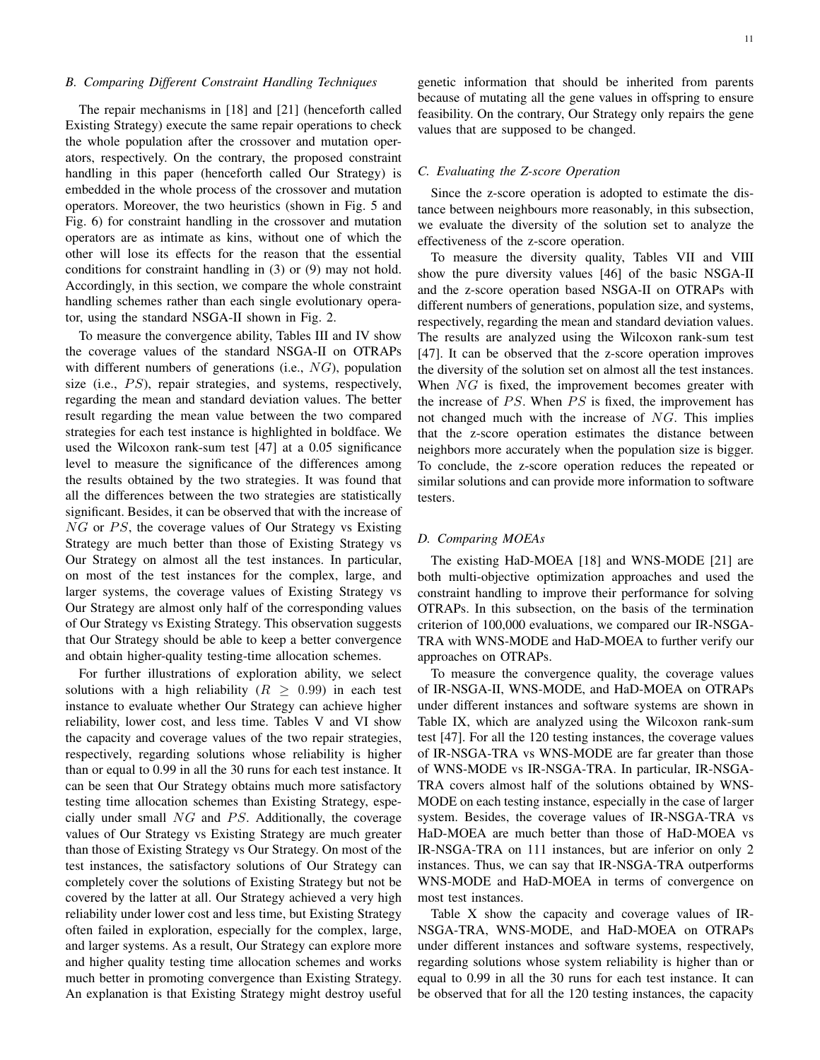#### *B. Comparing Different Constraint Handling Techniques*

The repair mechanisms in [18] and [21] (henceforth called Existing Strategy) execute the same repair operations to check the whole population after the crossover and mutation operators, respectively. On the contrary, the proposed constraint handling in this paper (henceforth called Our Strategy) is embedded in the whole process of the crossover and mutation operators. Moreover, the two heuristics (shown in Fig. 5 and Fig. 6) for constraint handling in the crossover and mutation operators are as intimate as kins, without one of which the other will lose its effects for the reason that the essential conditions for constraint handling in (3) or (9) may not hold. Accordingly, in this section, we compare the whole constraint handling schemes rather than each single evolutionary operator, using the standard NSGA-II shown in Fig. 2.

To measure the convergence ability, Tables III and IV show the coverage values of the standard NSGA-II on OTRAPs with different numbers of generations (i.e., *NG*), population size (i.e., PS), repair strategies, and systems, respectively, regarding the mean and standard deviation values. The better result regarding the mean value between the two compared strategies for each test instance is highlighted in boldface. We used the Wilcoxon rank-sum test [47] at a 0.05 significance level to measure the significance of the differences among the results obtained by the two strategies. It was found that all the differences between the two strategies are statistically significant. Besides, it can be observed that with the increase of *NG* or *PS*, the coverage values of Our Strategy vs Existing Strategy are much better than those of Existing Strategy vs Our Strategy on almost all the test instances. In particular, on most of the test instances for the complex, large, and larger systems, the coverage values of Existing Strategy vs Our Strategy are almost only half of the corresponding values of Our Strategy vs Existing Strategy. This observation suggests that Our Strategy should be able to keep a better convergence and obtain higher-quality testing-time allocation schemes.

For further illustrations of exploration ability, we select solutions with a high reliability ( $R \geq 0.99$ ) in each test instance to evaluate whether Our Strategy can achieve higher reliability, lower cost, and less time. Tables V and VI show the capacity and coverage values of the two repair strategies, respectively, regarding solutions whose reliability is higher than or equal to 0.99 in all the 30 runs for each test instance. It can be seen that Our Strategy obtains much more satisfactory testing time allocation schemes than Existing Strategy, especially under small *NG* and *PS*. Additionally, the coverage values of Our Strategy vs Existing Strategy are much greater than those of Existing Strategy vs Our Strategy. On most of the test instances, the satisfactory solutions of Our Strategy can completely cover the solutions of Existing Strategy but not be covered by the latter at all. Our Strategy achieved a very high reliability under lower cost and less time, but Existing Strategy often failed in exploration, especially for the complex, large, and larger systems. As a result, Our Strategy can explore more and higher quality testing time allocation schemes and works much better in promoting convergence than Existing Strategy. An explanation is that Existing Strategy might destroy useful

genetic information that should be inherited from parents because of mutating all the gene values in offspring to ensure feasibility. On the contrary, Our Strategy only repairs the gene values that are supposed to be changed.

#### *C. Evaluating the Z-score Operation*

Since the z-score operation is adopted to estimate the distance between neighbours more reasonably, in this subsection, we evaluate the diversity of the solution set to analyze the effectiveness of the z-score operation.

To measure the diversity quality, Tables VII and VIII show the pure diversity values [46] of the basic NSGA-II and the z-score operation based NSGA-II on OTRAPs with different numbers of generations, population size, and systems, respectively, regarding the mean and standard deviation values. The results are analyzed using the Wilcoxon rank-sum test [47]. It can be observed that the z-score operation improves the diversity of the solution set on almost all the test instances. When *NG* is fixed, the improvement becomes greater with the increase of *PS*. When *PS* is fixed, the improvement has not changed much with the increase of *NG*. This implies that the z-score operation estimates the distance between neighbors more accurately when the population size is bigger. To conclude, the z-score operation reduces the repeated or similar solutions and can provide more information to software testers.

#### *D. Comparing MOEAs*

The existing HaD-MOEA [18] and WNS-MODE [21] are both multi-objective optimization approaches and used the constraint handling to improve their performance for solving OTRAPs. In this subsection, on the basis of the termination criterion of 100,000 evaluations, we compared our IR-NSGA-TRA with WNS-MODE and HaD-MOEA to further verify our approaches on OTRAPs.

To measure the convergence quality, the coverage values of IR-NSGA-II, WNS-MODE, and HaD-MOEA on OTRAPs under different instances and software systems are shown in Table IX, which are analyzed using the Wilcoxon rank-sum test [47]. For all the 120 testing instances, the coverage values of IR-NSGA-TRA vs WNS-MODE are far greater than those of WNS-MODE vs IR-NSGA-TRA. In particular, IR-NSGA-TRA covers almost half of the solutions obtained by WNS-MODE on each testing instance, especially in the case of larger system. Besides, the coverage values of IR-NSGA-TRA vs HaD-MOEA are much better than those of HaD-MOEA vs IR-NSGA-TRA on 111 instances, but are inferior on only 2 instances. Thus, we can say that IR-NSGA-TRA outperforms WNS-MODE and HaD-MOEA in terms of convergence on most test instances.

Table X show the capacity and coverage values of IR-NSGA-TRA, WNS-MODE, and HaD-MOEA on OTRAPs under different instances and software systems, respectively, regarding solutions whose system reliability is higher than or equal to 0.99 in all the 30 runs for each test instance. It can be observed that for all the 120 testing instances, the capacity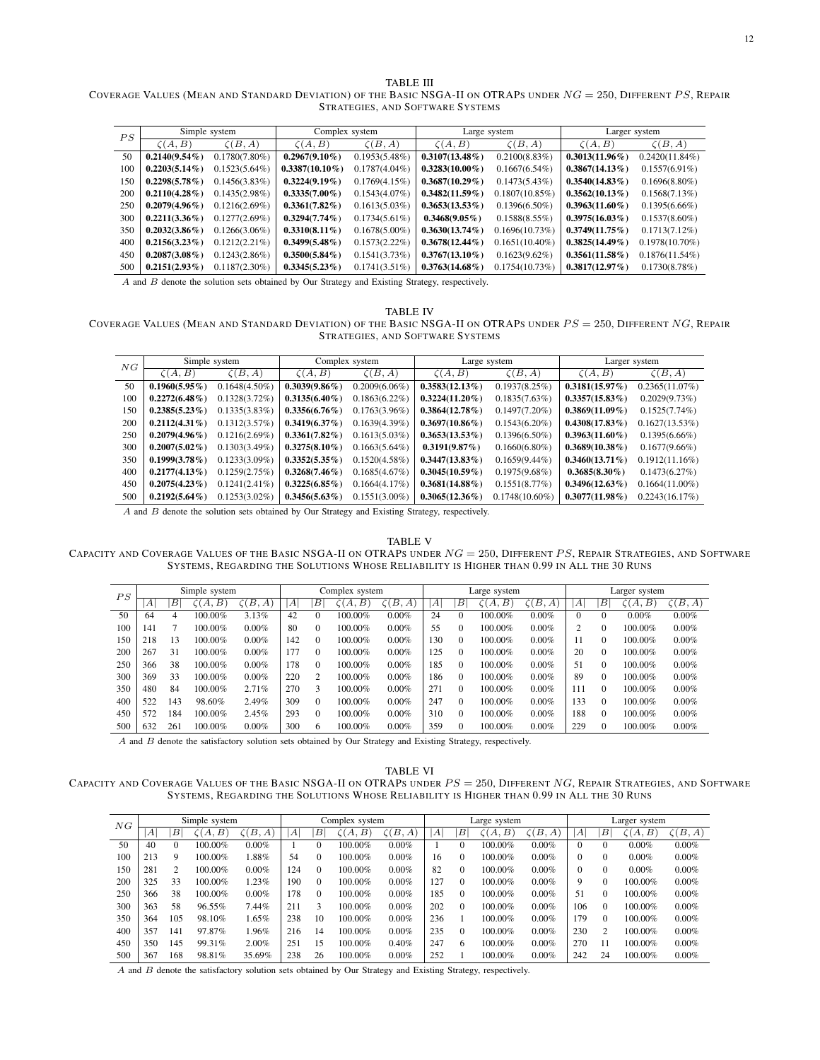TABLE III COVERAGE VALUES (MEAN AND STANDARD DEVIATION) OF THE BASIC NSGA-II ON OTRAPS UNDER *NG* = 250, DIFFERENT *P S*, REPAIR STRATEGIES, AND SOFTWARE SYSTEMS

| PS  |                  | Simple system    |                   | Complex system   |                   | Large system      |                   | Larger system     |  |  |
|-----|------------------|------------------|-------------------|------------------|-------------------|-------------------|-------------------|-------------------|--|--|
|     | $\zeta(A,B)$     | $\zeta(B,A)$     | $\zeta(A,B)$      | $\zeta(B,A)$     | $\zeta(A,B)$      | $\zeta(B,A)$      | $\zeta(A,B)$      | $\zeta(B,A)$      |  |  |
| 50  | $0.2140(9.54\%)$ | $0.1780(7.80\%)$ | $0.2967(9.10\%)$  | $0.1953(5.48\%)$ | $0.3107(13.48\%)$ | 0.2100(8.83%)     | $0.3013(11.96\%)$ | $0.2420(11.84\%)$ |  |  |
| 100 | $0.2203(5.14\%)$ | $0.1523(5.64\%)$ | $0.3387(10.10\%)$ | $0.1787(4.04\%)$ | $0.3283(10.00\%)$ | $0.1667(6.54\%)$  | $0.3867(14.13\%)$ | $0.1557(6.91\%)$  |  |  |
| 150 | $0.2298(5.78\%)$ | $0.1456(3.83\%)$ | $0.3224(9.19\%)$  | 0.1769(4.15%)    | $0.3687(10.29\%)$ | $0.1473(5.43\%)$  | $0.3540(14.83\%)$ | $0.1696(8.80\%)$  |  |  |
| 200 | $0.2110(4.28\%)$ | $0.1435(2.98\%)$ | $0.3335(7.00\%)$  | 0.1543(4.07%)    | $0.3482(11.59\%)$ | $0.1807(10.85\%)$ | $0.3562(10.13\%)$ | 0.1568(7.13%)     |  |  |
| 250 | $0.2079(4.96\%)$ | 0.1216(2.69%)    | $0.3361(7.82\%)$  | $0.1613(5.03\%)$ | $0.3653(13.53\%)$ | $0.1396(6.50\%)$  | $0.3963(11.60\%)$ | $0.1395(6.66\%)$  |  |  |
| 300 | $0.2211(3.36\%)$ | $0.1277(2.69\%)$ | $0.3294(7.74\%)$  | $0.1734(5.61\%)$ | $0.3468(9.05\%)$  | $0.1588(8.55\%)$  | $0.3975(16.03\%)$ | $0.1537(8.60\%)$  |  |  |
| 350 | $0.2032(3.86\%)$ | $0.1266(3.06\%)$ | $0.3310(8.11\%)$  | $0.1678(5.00\%)$ | $0.3630(13.74\%)$ | 0.1696(10.73%)    | $0.3749(11.75\%)$ | $0.1713(7.12\%)$  |  |  |
| 400 | $0.2156(3.23\%)$ | $0.1212(2.21\%)$ | $0.3499(5.48\%)$  | $0.1573(2.22\%)$ | $0.3678(12.44\%)$ | $0.1651(10.40\%)$ | $0.3825(14.49\%)$ | $0.1978(10.70\%)$ |  |  |
| 450 | $0.2087(3.08\%)$ | $0.1243(2.86\%)$ | $0.3500(5.84\%)$  | 0.1541(3.73%)    | $0.3767(13.10\%)$ | $0.1623(9.62\%)$  | $0.3561(11.58\%)$ | 0.1876(11.54%)    |  |  |
| 500 | $0.2151(2.93\%)$ | $0.1187(2.30\%)$ | $0.3345(5.23\%)$  | $0.1741(3.51\%)$ | $0.3763(14.68\%)$ | 0.1754(10.73%)    | $0.3817(12.97\%)$ | 0.1730(8.78%)     |  |  |

*A* and *B* denote the solution sets obtained by Our Strategy and Existing Strategy, respectively.

TABLE IV

COVERAGE VALUES (MEAN AND STANDARD DEVIATION) OF THE BASIC NSGA-II ON OTRAPS UNDER *P S* = 250, DIFFERENT *NG*, REPAIR STRATEGIES, AND SOFTWARE SYSTEMS

| NG  | Simple system    |                  | Complex system   |                  | Large system      |                   | Larger system     |                   |
|-----|------------------|------------------|------------------|------------------|-------------------|-------------------|-------------------|-------------------|
|     | $\zeta(A,B)$     | $\zeta(B,A)$     | $\zeta(A,B)$     | $\zeta(B,A)$     | $\zeta(A,B)$      | $\zeta(B,A)$      | $\zeta(A,B)$      | $\zeta(B,A)$      |
| 50  | $0.1960(5.95\%)$ | $0.1648(4.50\%)$ | $0.3039(9.86\%)$ | $0.2009(6.06\%)$ | $0.3583(12.13\%)$ | 0.1937(8.25%)     | $0.3181(15.97\%)$ | 0.2365(11.07%)    |
| 100 | $0.2272(6.48\%)$ | $0.1328(3.72\%)$ | $0.3135(6.40\%)$ | $0.1863(6.22\%)$ | $0.3224(11.20\%)$ | 0.1835(7.63%)     | $0.3357(15.83\%)$ | 0.2029(9.73%)     |
| 150 | $0.2385(5.23\%)$ | $0.1335(3.83\%)$ | $0.3356(6.76\%)$ | $0.1763(3.96\%)$ | $0.3864(12.78\%)$ | $0.1497(7.20\%)$  | $0.3869(11.09\%)$ | $0.1525(7.74\%)$  |
| 200 | $0.2112(4.31\%)$ | 0.1312(3.57%)    | $0.3419(6.37\%)$ | 0.1639(4.39%)    | $0.3697(10.86\%)$ | $0.1543(6.20\%)$  | $0.4308(17.83\%)$ | 0.1627(13.53%)    |
| 250 | $0.2079(4.96\%)$ | $0.1216(2.69\%)$ | $0.3361(7.82\%)$ | $0.1613(5.03\%)$ | $0.3653(13.53\%)$ | $0.1396(6.50\%)$  | $0.3963(11.60\%)$ | $0.1395(6.66\%)$  |
| 300 | $0.2007(5.02\%)$ | $0.1303(3.49\%)$ | $0.3275(8.10\%)$ | 0.1663(5.64%)    | $0.3191(9.87\%)$  | $0.1660(6.80\%)$  | $0.3689(10.38\%)$ | $0.1677(9.66\%)$  |
| 350 | $0.1999(3.78\%)$ | $0.1233(3.09\%)$ | $0.3352(5.35\%)$ | 0.1520(4.58%)    | $0.3447(13.83\%)$ | $0.1659(9.44\%)$  | $0.3460(13.71\%)$ | $0.1912(11.16\%)$ |
| 400 | $0.2177(4.13\%)$ | 0.1259(2.75%)    | $0.3268(7.46\%)$ | 0.1685(4.67%)    | $0.3045(10.59\%)$ | $0.1975(9.68\%)$  | $0.3685(8.30\%)$  | 0.1473(6.27%)     |
| 450 | $0.2075(4.23\%)$ | $0.1241(2.41\%)$ | $0.3225(6.85\%)$ | 0.1664(4.17%)    | $0.3681(14.88\%)$ | 0.1551(8.77%)     | $0.3496(12.63\%)$ | $0.1664(11.00\%)$ |
| 500 | $0.2192(5.64\%)$ | $0.1253(3.02\%)$ | $0.3456(5.63\%)$ | $0.1551(3.00\%)$ | $0.3065(12.36\%)$ | $0.1748(10.60\%)$ | $0.3077(11.98\%)$ | 0.2243(16.17%)    |

*A* and *B* denote the solution sets obtained by Our Strategy and Existing Strategy, respectively.

TABLE V

CAPACITY AND COVERAGE VALUES OF THE BASIC NSGA-II ON OTRAPS UNDER *NG* = 250, DIFFERENT *P S*, REPAIR STRATEGIES, AND SOFTWARE SYSTEMS, REGARDING THE SOLUTIONS WHOSE RELIABILITY IS HIGHER THAN 0.99 IN ALL THE 30 RUNS

| PS  |     |     | Simple system            |          |     |                | Complex system |            |          |          | Large system |                         | Larger system    |          |                  |              |
|-----|-----|-----|--------------------------|----------|-----|----------------|----------------|------------|----------|----------|--------------|-------------------------|------------------|----------|------------------|--------------|
|     | А   | B   | $\langle B \rangle$<br>A | B, A     | А   | B              | B<br>А         | B.<br>. A` | $\bm{A}$ | В        | B<br>А       | $\zeta(B,$<br>$\cdot$ A | $\boldsymbol{A}$ | В        | $\cdot$ B'<br>А. | $\zeta(B,A)$ |
| 50  | 64  | 4   | 100.00%                  | 3.13%    | 42  | $\theta$       | $100.00\%$     | 0.00%      | 24       | $\Omega$ | 100.00%      | 0.00%                   | $\mathbf{0}$     | $\Omega$ | $0.00\%$         | $0.00\%$     |
| 100 | 141 |     | 100.00%                  | $0.00\%$ | 80  | $\Omega$       | 100.00%        | $0.00\%$   | 55       | $\theta$ | 100.00%      | $0.00\%$                | 2                |          | 100.00%          | $0.00\%$     |
| 150 | 218 | 3   | 100.00%                  | 0.00%    | 142 | $\Omega$       | 100.00%        | 0.00%      | 130      | $\Omega$ | 100.00%      | $0.00\%$                | 11               | $\theta$ | $100.00\%$       | $0.00\%$     |
| 200 | 267 | 31  | 100.00%                  | 0.00%    | 177 | $\theta$       | 100.00%        | 0.00%      | 125      | $\Omega$ | 100.00%      | $0.00\%$                | 20               | $\theta$ | $100.00\%$       | $0.00\%$     |
| 250 | 366 | 38  | 100.00%                  | 0.00%    | 178 | $\Omega$       | 100.00%        | 0.00%      | 185      | $\theta$ | 100.00%      | $0.00\%$                | 51               | $\theta$ | 100.00%          | $0.00\%$     |
| 300 | 369 | 33  | 100.00%                  | 0.00%    | 220 | $\overline{c}$ | $100.00\%$     | 0.00%      | 186      | $\Omega$ | 100.00%      | $0.00\%$                | 89               | $\theta$ | 100.00%          | $0.00\%$     |
| 350 | 480 | 84  | 100.00%                  | 2.71%    | 270 | 3              | 100.00%        | 0.00%      | 271      | $\Omega$ | 100.00%      | $0.00\%$                | 111              | $\theta$ | $100.00\%$       | $0.00\%$     |
| 400 | 522 | 143 | 98.60%                   | 2.49%    | 309 | $\Omega$       | 100.00%        | 0.00%      | 247      | $\Omega$ | 100.00%      | $0.00\%$                | 133              | $\theta$ | $100.00\%$       | $0.00\%$     |
| 450 | 572 | 184 | 100.00%                  | 2.45%    | 293 | $\Omega$       | 100.00%        | $0.00\%$   | 310      | $\Omega$ | $100.00\%$   | $0.00\%$                | 188              | $\theta$ | 100.00%          | $0.00\%$     |
| 500 | 632 | 261 | 100.00%                  | $0.00\%$ | 300 | 6              | $100.00\%$     | 0.00%      | 359      | $\theta$ | $100.00\%$   | $0.00\%$                | 229              | $\theta$ | 100.00%          | $0.00\%$     |

*A* and *B* denote the satisfactory solution sets obtained by Our Strategy and Existing Strategy, respectively.

TABLE VI CAPACITY AND COVERAGE VALUES OF THE BASIC NSGA-II ON OTRAPS UNDER  $PS = 250$ , DIFFERENT NG, REPAIR STRATEGIES, AND SOFTWARE SYSTEMS, REGARDING THE SOLUTIONS WHOSE RELIABILITY IS HIGHER THAN 0.99 IN ALL THE 30 RUNS

|     |     |          |               |                   |     |                | Complex system        |                     |     |                   |              |                   | Larger system |              |            |              |
|-----|-----|----------|---------------|-------------------|-----|----------------|-----------------------|---------------------|-----|-------------------|--------------|-------------------|---------------|--------------|------------|--------------|
| NG  |     |          | Simple system |                   |     |                |                       |                     |     |                   | Large system |                   |               |              |            |              |
|     | А   | В        | В<br>А        | B<br>$A^{\prime}$ | А   | B <sup>1</sup> | $\boldsymbol{B}$<br>А | B<br>A <sub>1</sub> | А   | $\left  B\right $ | B<br>А       | В<br>$A^{\prime}$ | А             | $B^{\prime}$ | B<br>А     | $\zeta(B,A)$ |
| 50  | 40  | $\Omega$ | 100.00%       | $0.00\%$          |     |                | 100.00%               | $0.00\%$            |     |                   | 100.00%      | 0.00%             | $\theta$      | $\theta$     | $0.00\%$   | $0.00\%$     |
| 100 | 213 | 9        | 100.00%       | 1.88%             | 54  |                | 100.00%               | $0.00\%$            | 16  |                   | 100.00%      | 0.00%             | 0             | $\theta$     | 0.00%      | 0.00%        |
| 150 | 281 | 2        | 100.00%       | $0.00\%$          | 124 | 0              | 100.00%               | $0.00\%$            | 82  | $\Omega$          | 100.00%      | 0.00%             | $\mathbf{0}$  | $\theta$     | $0.00\%$   | 0.00%        |
| 200 | 325 | 33       | 100.00%       | 1.23%             | 190 | 0              | 100.00%               | $0.00\%$            | 127 | $\Omega$          | 100.00%      | 0.00%             | 9             | $\theta$     | 100.00%    | $0.00\%$     |
| 250 | 366 | 38       | 100.00%       | $0.00\%$          | 178 | 0              | 100.00%               | $0.00\%$            | 185 |                   | 100.00%      | 0.00%             | 51            | $\theta$     | 100.00%    | 0.00%        |
| 300 | 363 | 58       | 96.55%        | 7.44%             | 211 | 3              | 100.00%               | $0.00\%$            | 202 | $\Omega$          | 100.00%      | 0.00%             | 106           | $\Omega$     | $100.00\%$ | $0.00\%$     |
| 350 | 364 | 105      | 98.10%        | 1.65%             | 238 | 10             | 100.00%               | $0.00\%$            | 236 |                   | 100.00%      | 0.00%             | 179           | $\theta$     | 100.00%    | $0.00\%$     |
| 400 | 357 | 141      | 97.87%        | 1.96%             | 216 | 14             | 100.00%               | $0.00\%$            | 235 |                   | 100.00%      | 0.00%             | 230           | 2            | $100.00\%$ | 0.00%        |
| 450 | 350 | 145      | 99.31%        | $2.00\%$          | 251 | 15             | 100.00%               | 0.40%               | 247 | 6                 | 100.00%      | 0.00%             | 270           | 11           | 100.00%    | $0.00\%$     |
| 500 | 367 | 168      | 98.81%        | 35.69%            | 238 | 26             | 100.00%               | $0.00\%$            | 252 |                   | 100.00%      | 0.00%             | 242           | 24           | 100.00%    | 0.00%        |

*A* and *B* denote the satisfactory solution sets obtained by Our Strategy and Existing Strategy, respectively.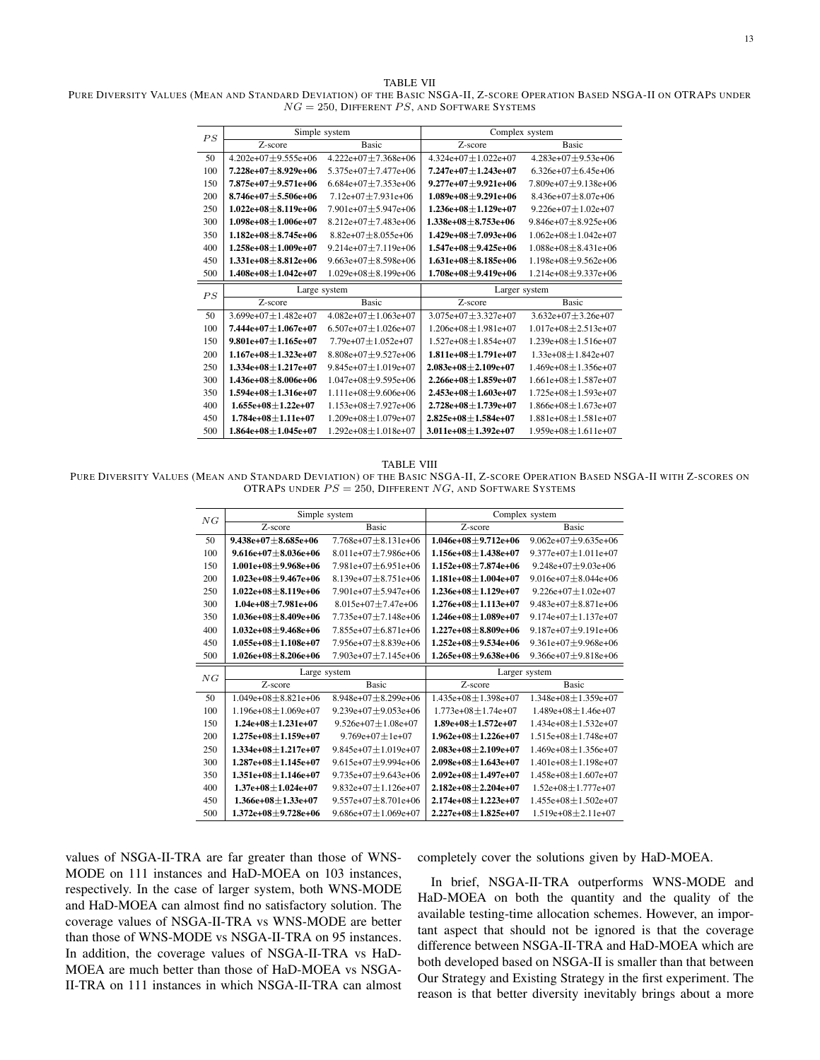13

TABLE VII PURE DIVERSITY VALUES (MEAN AND STANDARD DEVIATION) OF THE BASIC NSGA-II, Z-SCORE OPERATION BASED NSGA-II ON OTRAPS UNDER  $NG = 250$ , DIFFERENT  $PS$ , AND SOFTWARE SYSTEMS

|     |                           | Simple system             | Complex system        |                           |
|-----|---------------------------|---------------------------|-----------------------|---------------------------|
| PS  | 7-score                   | <b>Basic</b>              | Z-score               | <b>Basic</b>              |
| 50  | $4.202e+07+9.555e+06$     | $4.222e+07+7.368e+06$     | $4.324e+07+1.022e+07$ | $4.283e+07+9.53e+06$      |
| 100 | $7.228e+07+8.929e+06$     | $5.375e+07+7.477e+06$     | $7.247e+07+1.243e+07$ | $6.326e+07+6.45e+06$      |
| 150 | $7.875e+07+9.571e+06$     | 6.684e+07 $\pm$ 7.353e+06 | $9.277e+07+9.921e+06$ | $7.809e+07+9.138e+06$     |
| 200 | $8.746e+07+5.506e+06$     | $7.12e+07+7.931e+06$      | $1.089e+08+9.291e+06$ | $8.436e+07+8.07e+06$      |
| 250 | $1.022e+08+8.119e+06$     | $7.901e+07+5.947e+06$     | $1.236e+08+1.129e+07$ | $9.226e+07+1.02e+07$      |
| 300 | $1.098e+08+1.006e+07$     | $8.212e+07 \pm 7.483e+06$ | $1.338e+08+8.753e+06$ | $9.846e+07+8.925e+06$     |
| 350 | $1.182e+08+8.745e+06$     | $8.82e+07\pm8.055e+06$    | $1.429e+08+7.093e+06$ | $1.062e+08 \pm 1.042e+07$ |
| 400 | $1.258e+08\pm1.009e+07$   | $9.214e+07 \pm 7.119e+06$ | $1.547e+08+9.425e+06$ | $1.088e+08\pm8.431e+06$   |
| 450 | $1.331e+08+8.812e+06$     | $9.663e+07\pm8.598e+06$   | $1.631e+08+8.185e+06$ | $1.198e+08+9.562e+06$     |
| 500 | $1.408e+08\pm1.042e+07$   | $1.029e+08\pm8.199e+06$   | 1.708e+08±9.419e+06   | $1.214e+08\pm9.337e+06$   |
|     |                           |                           |                       |                           |
|     | Large system              |                           | Larger system         |                           |
| PS  | Z-score                   | <b>Basic</b>              | Z-score               | <b>Basic</b>              |
| 50  | $3.699e+07+1.482e+07$     | $4.082e+07+1.063e+07$     | $3.075e+07+3.327e+07$ | $3.632e+07+3.26e+07$      |
| 100 | $7.444e+07+1.067e+07$     | $6.507e+07+1.026e+07$     | $1.206e+08+1.981e+07$ | $1.017e+08+2.513e+07$     |
| 150 | $9.801e+07+1.165e+07$     | $7.79e+07+1.052e+07$      | $1.527e+08+1.854e+07$ | $1.239e+08 \pm 1.516e+07$ |
| 200 | $1.167e+08+1.323e+07$     | $8.808e+07+9.527e+06$     | $1.811e+08+1.791e+07$ | $1.33e+08+1.842e+07$      |
| 250 | $1.334e+08+1.217e+07$     | $9.845e+07+1.019e+07$     | $2.083e+08+2.109e+07$ | $1.469e+08+1.356e+07$     |
| 300 | $1.436e+08+8.006e+06$     | $1.047e+08 \pm 9.595e+06$ | $2.266e+08+1.859e+07$ | $1.661e+08 \pm 1.587e+07$ |
| 350 | $1.594e+08 \pm 1.316e+07$ | $1.111e+08\pm9.606e+06$   | $2.453e+08+1.603e+07$ | $1.725e+08 \pm 1.593e+07$ |
| 400 | $1.655e+08+1.22e+07$      | $1.153e+08\pm7.927e+06$   | $2.728e+08+1.739e+07$ | $1.866e+08+1.673e+07$     |
| 450 | $1.784e+08+1.11e+07$      | $1.209e+08+1.079e+07$     | $2.825e+08+1.584e+07$ | $1.881e+08+1.581e+07$     |

#### TABLE VIII

PURE DIVERSITY VALUES (MEAN AND STANDARD DEVIATION) OF THE BASIC NSGA-II, Z-SCORE OPERATION BASED NSGA-II WITH Z-SCORES ON OTRAPS UNDER  $PS = 250$ , DIFFERENT  $NG$ , AND SOFTWARE SYSTEMS

| NG  | Simple system             |                           | Complex system            |                           |
|-----|---------------------------|---------------------------|---------------------------|---------------------------|
|     | 7-score                   | <b>Basic</b>              | Z-score                   | <b>Basic</b>              |
| 50  | $9.438e+07+8.685e+06$     | $7.768e+07+8.131e+06$     | $1.046e+08+9.712e+06$     | $9.062e+07+9.635e+06$     |
| 100 | $9.616e+07+8.036e+06$     | $8.011e+07+7.986e+06$     | $1.156e+08 \pm 1.438e+07$ | $9.377e+07+1.011e+07$     |
| 150 | $1.001e+08+9.968e+06$     | $7.981e+07\pm6.951e+06$   | $1.152e+08+7.874e+06$     | 9.248e+07 $\pm$ 9.03e+06  |
| 200 | $1.023e+08+9.467e+06$     | $8.139e+07+8.751e+06$     | $1.181e+08\pm1.004e+07$   | $9.016e+07+8.044e+06$     |
| 250 | $1.022e+08\pm8.119e+06$   | $7.901e+07 \pm 5.947e+06$ | $1.236e+08\pm1.129e+07$   | $9.226e+07 \pm 1.02e+07$  |
| 300 | $1.04e+08\pm7.981e+06$    | $8.015e+07+7.47e+06$      | $1.276e+08 \pm 1.113e+07$ | $9.483e+07+8.871e+06$     |
| 350 | $1.036e+08+8.409e+06$     | $7.735e+07 \pm 7.148e+06$ | $1.246e+08+1.089e+07$     | $9.174e+07 \pm 1.137e+07$ |
| 400 | $1.032e+08+9.468e+06$     | $7.855e+07+6.871e+06$     | $1.227e+08+8.809e+06$     | $9.187e+07+9.191e+06$     |
| 450 | $1.055e+08+1.108e+07$     | $7.956e+07+8.839e+06$     | $1.252e+08+9.534e+06$     | $9.361e+07+9.968e+06$     |
| 500 | $1.026e+08+8.206e+06$     | $7.903e+07 \pm 7.145e+06$ | $1.265e+08+9.638e+06$     | 9.366e+07 $\pm$ 9.818e+06 |
| NG  | Large system              |                           | Larger system             |                           |
|     | 7-score                   | Basic                     | 7-score                   | <b>Basic</b>              |
| 50  | $1.049e+08+8.821e+06$     | $8.948e+07+8.299e+06$     | $1.435e+08 \pm 1.398e+07$ | $1.348e+08+1.359e+07$     |
| 100 | $1.196e+08+1.069e+07$     | $9.239e+07+9.053e+06$     | $1.773e+08 \pm 1.74e+07$  | $1.489e+08+1.46e+07$      |
| 150 | $1.24e+08 \pm 1.231e+07$  | 9.526e+07 $\pm$ 1.08e+07  | $1.89e+08\pm1.572e+07$    | $1.434e+08 \pm 1.532e+07$ |
| 200 | $1.275e+08 \pm 1.159e+07$ | $9.769e+07 \pm 1e+07$     | $1.962e+08 \pm 1.226e+07$ | $1.515e+08 \pm 1.748e+07$ |
| 250 | $1.334e+08 \pm 1.217e+07$ | 9.845e+07 $\pm$ 1.019e+07 | $2.083e+08+2.109e+07$     | $1.469e+08 \pm 1.356e+07$ |
| 300 | $1.287e+08+1.145e+07$     | 9.615e+07 $\pm$ 9.994e+06 | $2.098e+08+1.643e+07$     | $1.401e+08 \pm 1.198e+07$ |
| 350 | $1.351e+08+1.146e+07$     | $9.735e+07+9.643e+06$     | $2.092e+08+1.497e+07$     | $1.458e+08+1.607e+07$     |
| 400 | $1.37e+08+1.024e+07$      | $9.832e+07+1.126e+07$     | $2.182e+08+2.204e+07$     | $1.52e+08+1.777e+07$      |
| 450 | $1.366e+08\pm1.33e+07$    | $9.557e+07\pm8.701e+06$   | $2.174e+08\pm1.223e+07$   | $1.455e+08 \pm 1.502e+07$ |
| 500 | $1.372e+08\pm9.728e+06$   | 9.686e+07 $\pm$ 1.069e+07 | $2.227e+08\pm1.825e+07$   | $1.519e+08\pm2.11e+07$    |

values of NSGA-II-TRA are far greater than those of WNS-MODE on 111 instances and HaD-MOEA on 103 instances, respectively. In the case of larger system, both WNS-MODE and HaD-MOEA can almost find no satisfactory solution. The coverage values of NSGA-II-TRA vs WNS-MODE are better than those of WNS-MODE vs NSGA-II-TRA on 95 instances. In addition, the coverage values of NSGA-II-TRA vs HaD-MOEA are much better than those of HaD-MOEA vs NSGA-II-TRA on 111 instances in which NSGA-II-TRA can almost completely cover the solutions given by HaD-MOEA.

In brief, NSGA-II-TRA outperforms WNS-MODE and HaD-MOEA on both the quantity and the quality of the available testing-time allocation schemes. However, an important aspect that should not be ignored is that the coverage difference between NSGA-II-TRA and HaD-MOEA which are both developed based on NSGA-II is smaller than that between Our Strategy and Existing Strategy in the first experiment. The reason is that better diversity inevitably brings about a more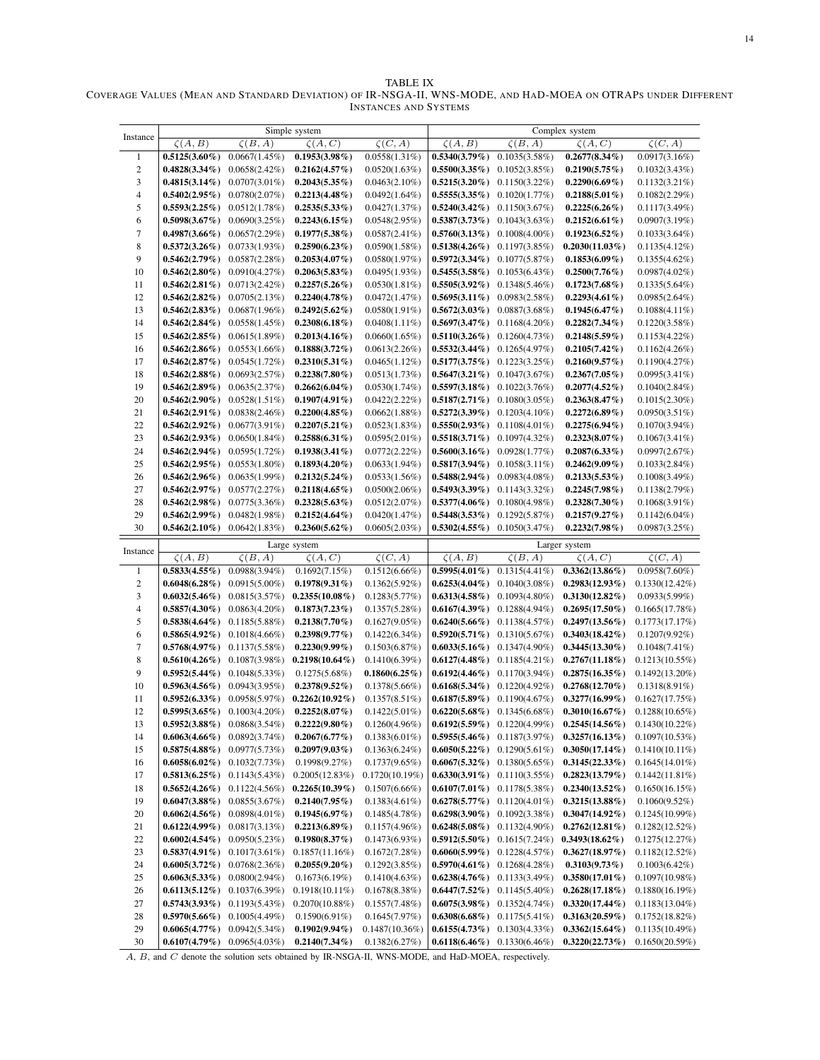TABLE IX

COVERAGE VALUES (MEAN AND STANDARD DEVIATION) OF IR-NSGA-II, WNS-MODE, AND HAD-MOEA ON OTRAPS UNDER DIFFERENT INSTANCES AND SYSTEMS

| Instance                |                                    |                                    | Simple system                        |                                 |                                   |                                   | Complex system                      |                                  |
|-------------------------|------------------------------------|------------------------------------|--------------------------------------|---------------------------------|-----------------------------------|-----------------------------------|-------------------------------------|----------------------------------|
|                         | $\zeta(A,B)$                       | $\zeta(B,A)$                       | $\zeta(A,C)$                         | $\zeta(C,A)$                    | $\zeta(A,B)$                      | $\zeta(B,A)$                      | $\zeta(A,C)$                        | $\zeta(C,A)$                     |
| 1                       | $0.5125(3.60\%)$                   | 0.0667(1.45%)                      | $0.1953(3.98\%)$                     | 0.0558(1.31%)                   | $0.5340(3.79\%)$                  | 0.1035(3.58%)                     | $0.2677(8.34\%)$                    | $0.0917(3.16\%)$                 |
| $\overline{\mathbf{c}}$ | $0.4828(3.34\%)$                   | 0.0658(2.42%)                      | 0.2162(4.57%)                        | 0.0520(1.63%)                   | $0.5500(3.35\%)$                  | 0.1052(3.85%)                     | $0.2190(5.75\%)$                    | 0.1032(3.43%)                    |
| 3                       | $0.4815(3.14\%)$                   | $0.0707(3.01\%)$                   | $0.2043(5.35\%)$                     | $0.0463(2.10\%)$                | $0.5215(3.20\%)$                  | $0.1150(3.22\%)$                  | $0.2290(6.69\%)$                    | $0.1132(3.21\%)$                 |
| $\overline{4}$          | $0.5402(2.95\%)$                   | 0.0780(2.07%)                      | $0.2213(4.48\%)$                     | 0.0492(1.64%)                   | $0.5555(3.35\%)$                  | 0.1020(1.77%)                     | $0.2188(5.01\%)$                    | 0.1082(2.29%)                    |
| 5                       | 0.5593(2.25%)                      | 0.0512(1.78%)                      | $0.2535(5.33\%)$                     | 0.0427(1.37%)                   | $0.5240(3.42\%)$                  | 0.1150(3.67%)                     | $0.2225(6.26\%)$                    | $0.1117(3.49\%)$                 |
| 6                       | 0.5098(3.67%)                      | 0.0690(3.25%)                      | $0.2243(6.15\%)$                     | 0.0548(2.95%)                   | 0.5387(3.73%)                     | 0.1043(3.63%)                     | $0.2152(6.61\%)$                    | 0.0907(3.19%)                    |
| 7                       | $0.4987(3.66\%)$                   | 0.0657(2.29%)                      | $0.1977(5.38\%)$                     | $0.0587(2.41\%)$                | $0.5760(3.13\%)$                  | $0.1008(4.00\%)$                  | $0.1923(6.52\%)$                    | 0.1033(3.64%)                    |
| 8                       | $0.5372(3.26\%)$                   | 0.0733(1.93%)                      | $0.2590(6.23\%)$                     | 0.0590(1.58%)                   | $0.5138(4.26\%)$                  | 0.1197(3.85%)                     | 0.2030(11.03%)                      | $0.1135(4.12\%)$                 |
| 9                       | 0.5462(2.79%)                      | 0.0587(2.28%)                      | $0.2053(4.07\%)$                     | 0.0580(1.97%)                   | $0.5972(3.34\%)$                  | 0.1077(5.87%)                     | $0.1853(6.09\%)$                    | $0.1355(4.62\%)$                 |
| 10                      | $0.5462(2.80\%)$                   | 0.0910(4.27%)                      | $0.2063(5.83\%)$                     | 0.0495(1.93%)                   | 0.5455(3.58%)                     | 0.1053(6.43%)                     | $0.2500(7.76\%)$                    | $0.0987(4.02\%)$                 |
| 11                      | 0.5462(2.81%)                      | 0.0713(2.42%)                      | $0.2257(5.26\%)$                     | 0.0530(1.81%)                   | $0.5505(3.92\%)$                  | $0.1348(5.46\%)$                  | $0.1723(7.68\%)$                    | 0.1335(5.64%)                    |
| 12                      | $0.5462(2.82\%)$                   | 0.0705(2.13%)                      | $0.2240(4.78\%)$                     | 0.0472(1.47%)                   | $0.5695(3.11\%)$                  | 0.0983(2.58%)                     | $0.2293(4.61\%)$                    | 0.0985(2.64%)                    |
| 13                      | $0.5462(2.83\%)$                   | $0.0687(1.96\%)$                   | $0.2492(5.62\%)$                     | $0.0580(1.91\%)$                | $0.5672(3.03\%)$                  | $0.0887(3.68\%)$                  | 0.1945(6.47%)                       | $0.1088(4.11\%)$                 |
| 14                      | $0.5462(2.84\%)$                   | 0.0558(1.45%)                      | $0.2308(6.18\%)$                     | $0.0408(1.11\%)$                | 0.5697(3.47%)                     | $0.1168(4.20\%)$                  | $0.2282(7.34\%)$                    | 0.1220(3.58%)                    |
| 15                      | 0.5462(2.85%)                      | 0.0615(1.89%)                      | $0.2013(4.16\%)$                     | 0.0660(1.65%)                   | $0.5110(3.26\%)$                  | 0.1260(4.73%)                     | $0.2148(5.59\%)$                    | $0.1153(4.22\%)$                 |
| 16                      | $0.5462(2.86\%)$                   | 0.0553(1.66%)                      | $0.1888(3.72\%)$                     | 0.0613(2.26%)                   | $0.5532(3.44\%)$                  | 0.1265(4.97%)                     | $0.2105(7.42\%)$                    | 0.1162(4.26%)                    |
| 17                      | 0.5462(2.87%)                      | 0.0545(1.72%)                      | $0.2310(5.31\%)$                     | 0.0465(1.12%)                   | $0.5177(3.75\%)$                  | 0.1223(3.25%)                     | 0.2160(9.57%)                       | 0.1190(4.27%)                    |
| 18                      | $0.5462(2.88\%)$                   | 0.0693(2.57%)                      | $0.2238(7.80\%)$                     | 0.0513(1.73%)                   | $0.5647(3.21\%)$                  | 0.1047(3.67%)                     | $0.2367(7.05\%)$                    | $0.0995(3.41\%)$                 |
| 19                      | $0.5462(2.89\%)$                   | 0.0635(2.37%)                      | $0.2662(6.04\%)$                     | 0.0530(1.74%)                   | $0.5597(3.18\%)$                  | 0.1022(3.76%)                     | $0.2077(4.52\%)$                    | 0.1040(2.84%)                    |
| 20                      | $0.5462(2.90\%)$                   | 0.0528(1.51%)                      | $0.1907(4.91\%)$                     | $0.0422(2.22\%)$                | $0.5187(2.71\%)$                  | $0.1080(3.05\%)$                  | 0.2363(8.47%)                       | $0.1015(2.30\%)$                 |
| 21                      | $0.5462(2.91\%)$                   | 0.0838(2.46%)                      | $0.2200(4.85\%)$                     | 0.0662(1.88%)                   | $0.5272(3.39\%)$                  | $0.1203(4.10\%)$                  | $0.2272(6.89\%)$                    | 0.0950(3.51%)                    |
| 22                      | $0.5462(2.92\%)$                   | $0.0677(3.91\%)$                   | $0.2207(5.21\%)$                     | 0.0523(1.83%)                   | $0.5550(2.93\%)$                  | $0.1108(4.01\%)$                  | $0.2275(6.94\%)$                    | $0.1070(3.94\%)$                 |
| 23                      | $0.5462(2.93\%)$                   | 0.0650(1.84%)                      | $0.2588(6.31\%)$                     | $0.0595(2.01\%)$                | $0.5518(3.71\%)$                  | $0.1097(4.32\%)$                  | $0.2323(8.07\%)$                    | $0.1067(3.41\%)$                 |
| 24                      | $0.5462(2.94\%)$                   | 0.0595(1.72%)                      | $0.1938(3.41\%)$                     | $0.0772(2.22\%)$                | $0.5600(3.16\%)$                  | 0.0928(1.77%)                     | $0.2087(6.33\%)$                    | 0.0997(2.67%)                    |
| 25                      | $0.5462(2.95\%)$                   | $0.0553(1.80\%)$                   | $0.1893(4.20\%)$                     | 0.0633(1.94%)                   | $0.5817(3.94\%)$                  | $0.1058(3.11\%)$                  | $0.2462(9.09\%)$                    | 0.1033(2.84%)                    |
| 26                      | $0.5462(2.96\%)$                   | 0.0635(1.99%)                      | $0.2132(5.24\%)$                     | 0.0533(1.56%)                   | $0.5488(2.94\%)$                  | $0.0983(4.08\%)$                  | $0.2133(5.53\%)$                    | 0.1008(3.49%)                    |
| 27                      | 0.5462(2.97%)                      | 0.0577(2.27%)                      | $0.2118(4.65\%)$                     | 0.0500(2.06%)                   | $0.5493(3.39\%)$                  | $0.1143(3.32\%)$                  | $0.2245(7.98\%)$                    | 0.1138(2.79%)                    |
| 28                      | $0.5462(2.98\%)$                   | $0.0775(3.36\%)$                   | $0.2328(5.63\%)$                     | 0.0512(2.07%)                   | $0.5377(4.06\%)$                  | 0.1080(4.98%)                     | $0.2328(7.30\%)$                    | $0.1068(3.91\%)$                 |
| 29                      | $0.5462(2.99\%)$                   | 0.0482(1.98%)                      | $0.2152(4.64\%)$                     | 0.0420(1.47%)                   | $0.5448(3.53\%)$                  | 0.1292(5.87%)                     | $0.2157(9.27\%)$                    | $0.1142(6.04\%)$                 |
| 30                      | $0.5462(2.10\%)$                   | 0.0642(1.83%)                      | $0.2360(5.62\%)$                     | 0.0605(2.03%)                   | $0.5302(4.55\%)$                  | 0.1050(3.47%)                     | $0.2232(7.98\%)$                    | 0.0987(3.25%)                    |
|                         |                                    |                                    |                                      |                                 |                                   |                                   |                                     |                                  |
|                         |                                    |                                    |                                      |                                 |                                   |                                   |                                     |                                  |
| Instance                |                                    |                                    | Large system                         |                                 |                                   |                                   | Larger system                       |                                  |
|                         | $\zeta(A,B)$                       | $\zeta(B,A)$                       | $\zeta(A,C)$                         | $\zeta(C,A)$                    | $\zeta(A,B)$                      | $\zeta(B,A)$                      | $\zeta(A,C)$                        | $\zeta(C,A)$                     |
| 1                       | $0.5833(4.55\%)$                   | 0.0988(3.94%)                      | 0.1692(7.15%)                        | $0.1512(6.66\%)$                | $0.5995(4.01\%)$                  | $0.1315(4.41\%)$                  | $0.3362(13.86\%)$                   | $0.0958(7.60\%)$                 |
| $\boldsymbol{2}$        | $0.6048(6.28\%)$                   | $0.0915(5.00\%)$                   | $0.1978(9.31\%)$                     | $0.1362(5.92\%)$                | $0.6253(4.04\%)$                  | $0.1040(3.08\%)$                  | $0.2983(12.93\%)$                   | 0.1330(12.42%)                   |
| 3                       | $0.6032(5.46\%)$                   | 0.0815(3.57%)                      | $0.2355(10.08\%)$                    | 0.1283(5.77%)                   | $0.6313(4.58\%)$                  | $0.1093(4.80\%)$                  | $0.3130(12.82\%)$                   | 0.0933(5.99%)                    |
| 4                       | $0.5857(4.30\%)$                   | $0.0863(4.20\%)$                   | $0.1873(7.23\%)$                     | 0.1357(5.28%)                   | 0.6167(4.39%)                     | $0.1288(4.94\%)$                  | $0.2695(17.50\%)$                   | 0.1665(17.78%)                   |
| 5                       | $0.5838(4.64\%)$                   | 0.1185(5.88%)                      | $0.2138(7.70\%)$                     | 0.1627(9.05%)                   | $0.6240(5.66\%)$                  | 0.1138(4.57%)                     | $0.2497(13.56\%)$                   | 0.1773(17.17%)                   |
| 6                       | $0.5865(4.92\%)$                   | $0.1018(4.66\%)$                   | 0.2398(9.77%)                        | $0.1422(6.34\%)$                | $0.5920(5.71\%)$                  | 0.1310(5.67%)                     | $0.3403(18.42\%)$                   | $0.1207(9.92\%)$                 |
| 7                       | 0.5768(4.97%)                      | 0.1137(5.58%)                      | $0.2230(9.99\%)$                     | 0.1503(6.87%)                   | $0.6033(5.16\%)$                  | $0.1347(4.90\%)$                  | $0.3445(13.30\%)$                   | $0.1048(7.41\%)$                 |
| 8                       | $0.5610(4.26\%)$                   | $0.1087(3.98\%)$                   | $0.2198(10.64\%)$                    | 0.1410(6.39%)                   | $0.6127(4.48\%)$                  | $0.1185(4.21\%)$                  | $0.2767(11.18\%)$                   | 0.1213(10.55%)                   |
| 9                       | $0.5952(5.44\%)$                   | 0.1048(5.33%)                      | 0.1275(5.68%)                        | $0.1860(6.25\%)$                | $0.6192(4.46\%)$                  | $0.1170(3.94\%)$                  | $0.2875(16.35\%)$                   | $0.1492(13.20\%)$                |
| 10                      | $0.5963(4.56\%)$                   | $0.0943(3.95\%)$                   | $0.2378(9.52\%)$                     | 0.1378(5.66%)                   | $0.6168(5.34\%)$                  | $0.1220(4.92\%)$                  | $0.2768(12.70\%)$                   | $0.1318(8.91\%)$                 |
| 11                      | $0.5952(6.33\%)$                   | 0.0958(5.97%)                      | $0.2262(10.92\%)$                    | 0.1357(8.51%)                   | $0.6187(5.89\%)$                  | 0.1190(4.67%)                     | $0.3277(16.99\%)$                   | 0.1627(17.75%)                   |
| 12                      | $0.5995(3.65\%)$                   | $0.1003(4.20\%)$                   | $0.2252(8.07\%)$                     | $0.1422(5.01\%)$                | $0.6220(5.68\%)$                  | $0.1345(6.68\%)$                  | 0.3010(16.67%)                      | 0.1288(10.65%)                   |
| 13                      | $0.5952(3.88\%)$                   | 0.0868(3.54%)                      | $0.2222(9.80\%)$                     | $0.1260(4.96\%)$                | 0.6192(5.59%)                     | 0.1220(4.99%)                     | $0.2545(14.56\%)$                   | $0.1430(10.22\%)$                |
| 14                      | $0.6063(4.66\%)$                   | 0.0892(3.74%)                      | $0.2067(6.77\%)$                     | $0.1383(6.01\%)$                | $0.5955(5.46\%)$                  | 0.1187(3.97%)                     | $0.3257(16.13\%)$                   | 0.1097(10.53%)                   |
| 15                      | $0.5875(4.88\%)$                   | 0.0977(5.73%)                      | $0.2097(9.03\%)$                     | 0.1363(6.24%)                   | $0.6050(5.22\%)$                  | 0.1290(5.61%)                     | $0.3050(17.14\%)$                   | $0.1410(10.11\%)$                |
| 16                      | $0.6058(6.02\%)$ 0.1032(7.73%)     |                                    | 0.1998(9.27%)                        | 0.1737(9.65%)                   | $0.6067(5.32\%)$                  | 0.1380(5.65%)                     | $0.3145(22.33\%)$                   | $0.1645(14.01\%)$                |
| 17                      | <b>0.5813(6.25%)</b> 0.1143(5.43%) |                                    | 0.2005(12.83%)                       | 0.1720(10.19%)                  | $0.6330(3.91\%)$                  | $0.1110(3.55\%)$                  | $0.2823(13.79\%)$                   | $0.1442(11.81\%)$                |
| 18                      |                                    | <b>0.5652(4.26%)</b> 0.1122(4.56%) | 0.2265(10.39%)                       | $0.1507(6.66\%)$                | $0.6107(7.01\%)$                  | 0.1178(5.38%)                     | $0.2340(13.52\%)$                   | 0.1650(16.15%)                   |
| 19                      | $0.6047(3.88\%)$ 0.0855(3.67%)     |                                    | $0.2140(7.95\%)$                     | $0.1383(4.61\%)$                | 0.6278(5.77%)                     | $0.1120(4.01\%)$                  | $0.3215(13.88\%)$                   | 0.1060(9.52%)                    |
| 20                      | $0.6062(4.56\%)$                   | $0.0898(4.01\%)$                   | 0.1945(6.97%)                        | 0.1485(4.78%)                   | $0.6298(3.90\%)$                  | 0.1092(3.38%)                     | $0.3047(14.92\%)$                   | 0.1245(10.99%)                   |
| 21                      | $0.6122(4.99\%)$ $0.0817(3.13\%)$  |                                    | $0.2213(6.89\%)$                     | $0.1157(4.96\%)$                | $0.6248(5.08\%)$                  | $0.1132(4.90\%)$                  | $0.2762(12.81\%)$                   | 0.1282(12.52%)                   |
| 22                      | $0.6002(4.54\%)$ 0.0950(5.23%)     |                                    | 0.1980(8.37%)                        | 0.1473(6.93%)                   | $0.5912(5.50\%)$                  | 0.1615(7.24%)                     | $0.3493(18.62\%)$                   | 0.1275(12.27%)                   |
| 23                      | $0.5837(4.91\%)$                   | $0.1017(3.61\%)$                   | 0.1857(11.16%)                       | 0.1672(7.28%)                   | $0.6060(5.99\%)$                  | 0.1228(4.57%)                     | $0.3627(18.97\%)$                   | 0.1182(12.52%)                   |
| 24                      | $0.6005(3.72\%)$                   | 0.0768(2.36%)                      | $0.2055(9.20\%)$                     | 0.1292(3.85%)                   | $0.5970(4.61\%)$                  | 0.1268(4.28%)                     | 0.3103(9.73%)                       | 0.1003(6.42%)                    |
| 25                      | $0.6063(5.33\%)$                   | 0.0800(2.94%)                      | 0.1673(6.19%)                        | 0.1410(4.63%)                   | $0.6238(4.76\%)$                  | 0.1133(3.49%)                     | $0.3580(17.01\%)$                   | 0.1097(10.98%)                   |
| 26                      |                                    | <b>0.6113(5.12%)</b> 0.1037(6.39%) | $0.1918(10.11\%)$                    | 0.1678(8.38%)                   | $0.6447(7.52\%)$                  | $0.1145(5.40\%)$                  | $0.2628(17.18\%)$                   | 0.1880(16.19%)                   |
| 27                      | $0.5743(3.93\%)$                   | 0.1193(5.43%)                      | 0.2070(10.88%)                       | 0.1557(7.48%)                   | $0.6075(3.98\%)$                  | 0.1352(4.74%)                     | $0.3320(17.44\%)$                   | $0.1183(13.04\%)$                |
| 28                      | $0.5970(5.66\%)$                   | 0.1005(4.49%)                      | $0.1590(6.91\%)$                     | 0.1645(7.97%)                   | $0.6308(6.68\%)$                  | $0.1175(5.41\%)$                  | 0.3163(20.59%)                      | 0.1752(18.82%)                   |
| 29<br>30                | $0.6065(4.77\%)$<br>0.6107(4.79%)  | 0.0942(5.34%)<br>0.0965(4.03%)     | $0.1902(9.94\%)$<br>$0.2140(7.34\%)$ | 0.1487(10.36%)<br>0.1382(6.27%) | 0.6155(4.73%)<br>$0.6118(6.46\%)$ | 0.1303(4.33%)<br>$0.1330(6.46\%)$ | $0.3362(15.64\%)$<br>0.3220(22.73%) | 0.1135(10.49%)<br>0.1650(20.59%) |

*A*, *B*, and *C* denote the solution sets obtained by IR-NSGA-II, WNS-MODE, and HaD-MOEA, respectively.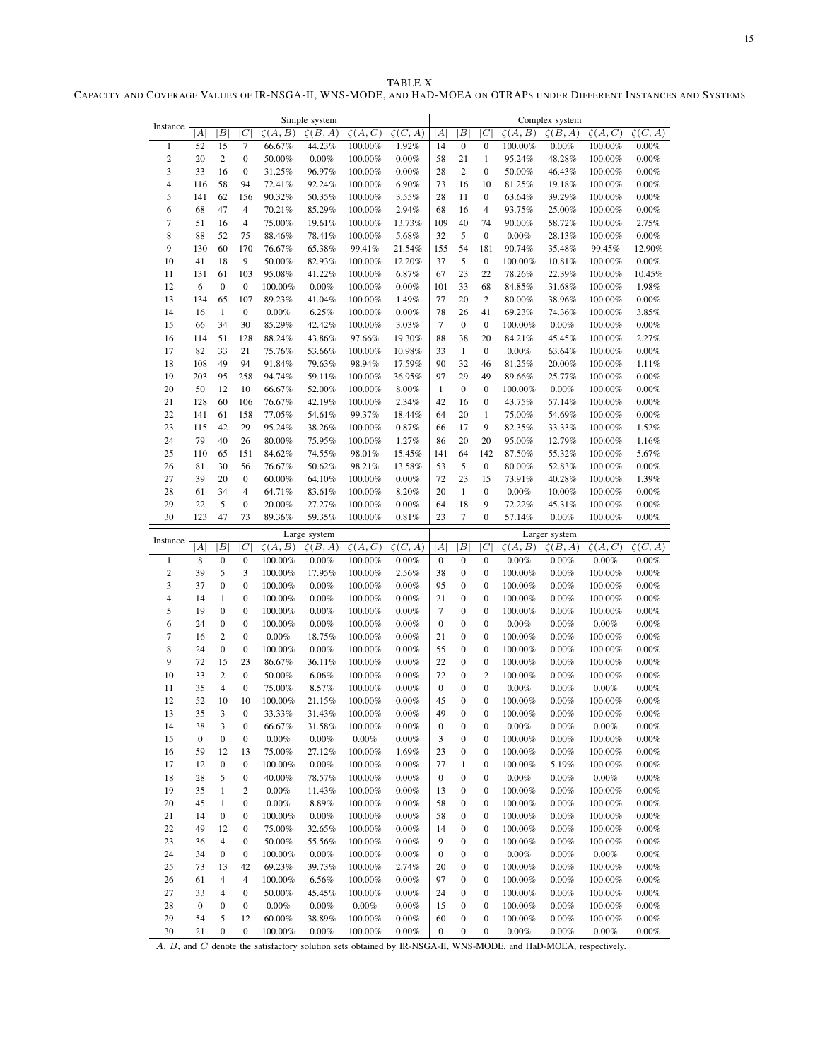TABLE X CAPACITY AND COVERAGE VALUES OF IR-NSGA-II, WNS-MODE, AND HAD-MOEA ON OTRAPS UNDER DIFFERENT INSTANCES AND SYSTEMS

| Instance       | $\boldsymbol{A}$       | В                       | $\,C$                   | $\zeta(A,B)$       | Simple system<br>$\zeta(B,A)$ | $\zeta(A,C)$ | $\zeta(C,A)$ | $\vert A \vert$  | В                | C                | $\zeta(A,B)$      | Complex system<br>$\zeta(B,A)$ | $\zeta(A,C)$ | $\zeta(C,A)$ |
|----------------|------------------------|-------------------------|-------------------------|--------------------|-------------------------------|--------------|--------------|------------------|------------------|------------------|-------------------|--------------------------------|--------------|--------------|
| $\mathbf{1}$   | 52                     | 15                      | $\boldsymbol{7}$        | 66.67%             | 44.23%                        |              | 1.92%        | 14               | $\boldsymbol{0}$ | $\boldsymbol{0}$ |                   | 0.00%                          |              | $0.00\%$     |
|                |                        |                         | $\boldsymbol{0}$        |                    |                               | 100.00%      | $0.00\%$     |                  |                  |                  | 100.00%<br>95.24% |                                | 100.00%      | $0.00\%$     |
| $\overline{c}$ | 20                     | $\boldsymbol{2}$        |                         | 50.00%             | 0.00%                         | 100.00%      |              | 58               | 21               | $\mathbf{1}$     |                   | 48.28%                         | 100.00%      |              |
| 3              | 33                     | 16                      | $\boldsymbol{0}$        | 31.25%             | 96.97%                        | 100.00%      | $0.00\%$     | 28               | $\sqrt{2}$       | $\boldsymbol{0}$ | 50.00%            | 46.43%                         | 100.00%      | 0.00%        |
| $\overline{4}$ | 116                    | 58                      | 94                      | 72.41%             | 92.24%                        | 100.00%      | 6.90%        | 73               | 16               | 10               | 81.25%            | 19.18%                         | 100.00%      | 0.00%        |
| 5              | 141                    | 62                      | 156                     | 90.32%             | 50.35%                        | 100.00%      | 3.55%        | 28               | 11               | $\boldsymbol{0}$ | 63.64%            | 39.29%                         | 100.00%      | 0.00%        |
| 6              | 68                     | 47                      | $\overline{4}$          | 70.21%             | 85.29%                        | 100.00%      | 2.94%        | 68               | 16               | $\overline{4}$   | 93.75%            | 25.00%                         | 100.00%      | 0.00%        |
| $\overline{7}$ | 51                     | 16                      | $\overline{\mathbf{4}}$ | 75.00%             | 19.61%                        | 100.00%      | 13.73%       | 109              | 40               | 74               | 90.00%            | 58.72%                         | 100.00%      | 2.75%        |
| 8              | 88                     | 52                      | 75                      | 88.46%             | 78.41%                        | 100.00%      | 5.68%        | 32               | 5                | $\boldsymbol{0}$ | 0.00%             | 28.13%                         | 100.00%      | 0.00%        |
| 9              | 130                    | 60                      | 170                     | 76.67%             | 65.38%                        | 99.41%       | 21.54%       | 155              | 54               | 181              | 90.74%            | 35.48%                         | 99.45%       | 12.90%       |
| 10             | 41                     | 18                      | 9                       | 50.00%             | 82.93%                        | 100.00%      | 12.20%       | 37               | 5                | $\boldsymbol{0}$ | 100.00%           | 10.81%                         | 100.00%      | 0.00%        |
| 11             | 131                    | 61                      | 103                     | 95.08%             | 41.22%                        | 100.00%      | 6.87%        | 67               | 23               | 22               | 78.26%            | 22.39%                         | 100.00%      | 10.45%       |
| 12             | 6                      | $\boldsymbol{0}$        | $\boldsymbol{0}$        | 100.00%            | 0.00%                         | 100.00%      | $0.00\%$     | 101              | 33               | 68               | 84.85%            | 31.68%                         | 100.00%      | 1.98%        |
| 13             | 134                    | 65                      | 107                     | 89.23%             | 41.04%                        | 100.00%      | 1.49%        | 77               | 20               | $\boldsymbol{2}$ | 80.00%            | 38.96%                         | 100.00%      | 0.00%        |
| 14             | 16                     | $\mathbf{1}$            | $\boldsymbol{0}$        | $0.00\%$           | 6.25%                         | 100.00%      | $0.00\%$     | 78               | 26               | 41               | 69.23%            | 74.36%                         | 100.00%      | 3.85%        |
| 15             | 66                     | 34                      | 30                      | 85.29%             | 42.42%                        | 100.00%      | 3.03%        | $\boldsymbol{7}$ | $\boldsymbol{0}$ | $\boldsymbol{0}$ | 100.00%           | $0.00\%$                       | 100.00%      | 0.00%        |
| 16             | 114                    | 51                      | 128                     | 88.24%             | 43.86%                        | 97.66%       | 19.30%       | 88               | 38               | 20               | 84.21%            | 45.45%                         | 100.00%      | 2.27%        |
| 17             | 82                     | 33                      | 21                      | 75.76%             | 53.66%                        | 100.00%      | 10.98%       | 33               | $\mathbf{1}$     | $\boldsymbol{0}$ | 0.00%             | 63.64%                         | 100.00%      | 0.00%        |
| 18             | 108                    | 49                      | 94                      | 91.84%             | 79.63%                        | 98.94%       | 17.59%       | 90               | 32               | 46               | 81.25%            | 20.00%                         | 100.00%      | 1.11%        |
| 19             | 203                    | 95                      | 258                     | 94.74%             | 59.11%                        | 100.00%      | 36.95%       | 97               | 29               | 49               | 89.66%            | 25.77%                         | 100.00%      | 0.00%        |
| 20             | 50                     | 12                      | 10                      | 66.67%             | 52.00%                        | 100.00%      | $8.00\%$     | $\mathbf{1}$     | $\boldsymbol{0}$ | $\boldsymbol{0}$ | 100.00%           | 0.00%                          | 100.00%      | 0.00%        |
| 21             | 128                    | 60                      | 106                     | 76.67%             | 42.19%                        | 100.00%      | 2.34%        | 42               | 16               | $\boldsymbol{0}$ | 43.75%            | 57.14%                         | 100.00%      | 0.00%        |
| 22             | 141                    | 61                      | 158                     | 77.05%             | 54.61%                        | 99.37%       | 18.44%       | 64               | 20               | $\mathbf{1}$     | 75.00%            | 54.69%                         | 100.00%      | 0.00%        |
| 23             | 115                    | 42                      | 29                      | 95.24%             | 38.26%                        | 100.00%      | 0.87%        | 66               | 17               | 9                | 82.35%            | 33.33%                         | 100.00%      | 1.52%        |
| 24             | 79                     | 40                      | 26                      | 80.00%             | 75.95%                        | 100.00%      | 1.27%        | 86               | 20               | 20               | 95.00%            | 12.79%                         | 100.00%      | 1.16%        |
| 25             | 110                    | 65                      | 151                     | 84.62%             | 74.55%                        | 98.01%       | 15.45%       | 141              | 64               | 142              | 87.50%            | 55.32%                         | 100.00%      | 5.67%        |
| 26             | 81                     | 30                      | 56                      | 76.67%             | 50.62%                        | 98.21%       | 13.58%       | 53               | 5                | $\boldsymbol{0}$ | 80.00%            | 52.83%                         | 100.00%      | 0.00%        |
|                |                        |                         |                         |                    |                               |              |              |                  |                  |                  |                   |                                |              |              |
| 27             | 39                     | 20                      | $\boldsymbol{0}$        | 60.00%             | 64.10%                        | 100.00%      | $0.00\%$     | 72               | 23               | 15               | 73.91%            | 40.28%                         | 100.00%      | 1.39%        |
| 28             | 61                     | 34                      | 4                       | 64.71%             | 83.61%                        | 100.00%      | 8.20%        | 20               | $\,1$            | $\boldsymbol{0}$ | 0.00%             | 10.00%                         | 100.00%      | 0.00%        |
| 29             | 22                     | 5                       | $\boldsymbol{0}$        | 20.00%             | 27.27%                        | 100.00%      | $0.00\%$     | 64               | 18               | 9                | 72.22%            | 45.31%                         | 100.00%      | 0.00%        |
| 30             | 123                    | 47                      | 73                      | 89.36%             | 59.35%                        | 100.00%      | 0.81%        | 23               | $\boldsymbol{7}$ | $\boldsymbol{0}$ | 57.14%            | 0.00%                          | 100.00%      | 0.00%        |
| Instance       |                        |                         |                         |                    | Large system                  |              |              |                  |                  |                  |                   | Larger system                  |              |              |
|                |                        |                         |                         |                    |                               |              |              |                  |                  |                  |                   |                                |              |              |
|                | $\boldsymbol{A}$       | В                       | C                       | $\zeta(A,B)$       | $\overline{\zeta}(B,A)$       | $\zeta(A,C)$ | $\zeta(C,A)$ | $\left A\right $ | В                | C                | $\zeta(A,B)$      | $\overline{\zeta}(B,A)$        | $\zeta(A,C)$ | $\zeta(C,A)$ |
| $\mathbf{1}$   | 8                      | $\boldsymbol{0}$        | $\boldsymbol{0}$        | 100.00%            | 0.00%                         | 100.00%      | $0.00\%$     | $\boldsymbol{0}$ | $\boldsymbol{0}$ | $\boldsymbol{0}$ | 0.00%             | 0.00%                          | $0.00\%$     | $0.00\%$     |
| $\overline{c}$ | 39                     | 5                       | 3                       | 100.00%            | 17.95%                        | 100.00%      | 2.56%        | 38               | $\boldsymbol{0}$ | $\boldsymbol{0}$ | 100.00%           | 0.00%                          | 100.00%      | 0.00%        |
| 3              | 37                     | $\boldsymbol{0}$        | $\boldsymbol{0}$        | 100.00%            | 0.00%                         | 100.00%      | $0.00\%$     | 95               | $\boldsymbol{0}$ | $\boldsymbol{0}$ | 100.00%           | 0.00%                          | 100.00%      | 0.00%        |
| $\overline{4}$ | 14                     | $\mathbf{1}$            | $\boldsymbol{0}$        | 100.00%            | 0.00%                         | 100.00%      | $0.00\%$     | 21               | $\boldsymbol{0}$ | $\boldsymbol{0}$ | 100.00%           | 0.00%                          | 100.00%      | 0.00%        |
| 5              | 19                     | $\boldsymbol{0}$        | $\boldsymbol{0}$        | 100.00%            | 0.00%                         | 100.00%      | 0.00%        | $\boldsymbol{7}$ | $\boldsymbol{0}$ | $\boldsymbol{0}$ | 100.00%           | 0.00%                          | 100.00%      | 0.00%        |
| 6              | 24                     | $\boldsymbol{0}$        | $\boldsymbol{0}$        | 100.00%            | 0.00%                         | 100.00%      | 0.00%        | $\boldsymbol{0}$ | $\boldsymbol{0}$ | $\boldsymbol{0}$ | 0.00%             | 0.00%                          | $0.00\%$     | 0.00%        |
| $\overline{7}$ | 16                     | $\mathbf{2}$            | $\boldsymbol{0}$        | $0.00\%$           | 18.75%                        | 100.00%      | $0.00\%$     | 21               | $\boldsymbol{0}$ | $\boldsymbol{0}$ | 100.00%           | 0.00%                          | 100.00%      | 0.00%        |
| 8              | 24                     | $\boldsymbol{0}$        | $\boldsymbol{0}$        | 100.00%            | 0.00%                         | 100.00%      | $0.00\%$     | 55               | $\boldsymbol{0}$ | $\boldsymbol{0}$ | 100.00%           | 0.00%                          | 100.00%      | 0.00%        |
| 9              | 72                     | 15                      | 23                      | 86.67%             | 36.11%                        | 100.00%      | 0.00%        | 22               | $\boldsymbol{0}$ | $\boldsymbol{0}$ | 100.00%           | 0.00%                          | 100.00%      | 0.00%        |
| 10             | 33                     | $\mathbf{2}$            | $\boldsymbol{0}$        | 50.00%             | 6.06%                         | 100.00%      | 0.00%        | 72               | $\boldsymbol{0}$ | $\sqrt{2}$       | 100.00%           | $0.00\%$                       | 100.00%      | 0.00%        |
| 11             | 35                     | $\overline{\mathbf{4}}$ | $\boldsymbol{0}$        | 75.00%             | 8.57%                         | 100.00%      | 0.00%        | $\boldsymbol{0}$ | $\boldsymbol{0}$ | $\boldsymbol{0}$ | 0.00%             | 0.00%                          | $0.00\%$     | 0.00%        |
| 12             | 52                     | 10                      | 10                      | 100.00%            | 21.15%                        | 100.00%      | 0.00%        | 45               | $\boldsymbol{0}$ | $\boldsymbol{0}$ | 100.00%           | 0.00%                          | 100.00%      | 0.00%        |
| 13             | 35                     | 3                       | $\boldsymbol{0}$        | 33.33%             | 31.43%                        | 100.00%      | $0.00\%$     | 49               | $\boldsymbol{0}$ | $\boldsymbol{0}$ | 100.00%           | 0.00%                          | 100.00%      | 0.00%        |
|                |                        |                         |                         |                    | 31.58%                        |              |              |                  |                  |                  | $0.00\%$          |                                |              |              |
| 14<br>15       | 38<br>$\boldsymbol{0}$ | 3<br>$\boldsymbol{0}$   | $\boldsymbol{0}$        | 66.67%<br>$0.00\%$ |                               | 100.00%      | $0.00\%$     | $\boldsymbol{0}$ | 0<br>0           | $\boldsymbol{0}$ |                   | $0.00\%$                       | $0.00\%$     | 0.00%        |
|                |                        |                         | $\boldsymbol{0}$        |                    | 0.00%                         | 0.00%        | $0.00\%$     | 3                |                  | $\boldsymbol{0}$ | 100.00%           | $0.00\%$                       | 100.00%      | 0.00%        |
| 16             | 59                     | 12                      | 13                      | 75.00%             | 27.12%                        | 100.00%      | 1.69%        | 23               | $\boldsymbol{0}$ | $\boldsymbol{0}$ | 100.00%           | $0.00\%$                       | 100.00%      | 0.00%        |
| 17             | 12                     | $\boldsymbol{0}$        | $\boldsymbol{0}$        | 100.00%            | 0.00%                         | 100.00%      | $0.00\%$     | 77               | 1                | $\boldsymbol{0}$ | 100.00%           | 5.19%                          | 100.00%      | 0.00%        |
| 18             | 28                     | 5                       | $\boldsymbol{0}$        | 40.00%             | 78.57%                        | 100.00%      | $0.00\%$     | $\boldsymbol{0}$ | 0                | $\boldsymbol{0}$ | $0.00\%$          | $0.00\%$                       | $0.00\%$     | 0.00%        |
| 19             | 35                     | 1                       | $\boldsymbol{2}$        | $0.00\%$           | 11.43%                        | 100.00%      | $0.00\%$     | 13               | $\boldsymbol{0}$ | $\boldsymbol{0}$ | 100.00%           | 0.00%                          | 100.00%      | 0.00%        |
| 20             | 45                     | 1                       | $\boldsymbol{0}$        | $0.00\%$           | 8.89%                         | 100.00%      | 0.00%        | 58               | 0                | $\boldsymbol{0}$ | 100.00%           | $0.00\%$                       | 100.00%      | 0.00%        |
| 21             | 14                     | $\boldsymbol{0}$        | $\boldsymbol{0}$        | 100.00%            | 0.00%                         | 100.00%      | $0.00\%$     | 58               | 0                | $\boldsymbol{0}$ | 100.00%           | $0.00\%$                       | 100.00%      | 0.00%        |
| 22             | 49                     | 12                      | 0                       | 75.00%             | 32.65%                        | 100.00%      | $0.00\%$     | 14               | $\boldsymbol{0}$ | $\boldsymbol{0}$ | 100.00%           | $0.00\%$                       | 100.00%      | 0.00%        |
| 23             | 36                     | 4                       | $\boldsymbol{0}$        | 50.00%             | 55.56%                        | 100.00%      | $0.00\%$     | 9                | 0                | $\boldsymbol{0}$ | 100.00%           | $0.00\%$                       | 100.00%      | 0.00%        |
| 24             | 34                     | $\boldsymbol{0}$        | $\boldsymbol{0}$        | 100.00%            | 0.00%                         | 100.00%      | $0.00\%$     | $\boldsymbol{0}$ | $\boldsymbol{0}$ | $\boldsymbol{0}$ | 0.00%             | $0.00\%$                       | 0.00%        | 0.00%        |
| 25             | 73                     | 13                      | 42                      | 69.23%             | 39.73%                        | 100.00%      | 2.74%        | 20               | $\boldsymbol{0}$ | $\boldsymbol{0}$ | 100.00%           | $0.00\%$                       | 100.00%      | 0.00%        |
| 26             | 61                     | 4                       | 4                       | 100.00%            | 6.56%                         | 100.00%      | $0.00\%$     | 97               | 0                | $\boldsymbol{0}$ | 100.00%           | $0.00\%$                       | 100.00%      | 0.00%        |
| 27             | 33                     | 4                       | 0                       | 50.00%             | 45.45%                        | 100.00%      | $0.00\%$     | 24               | $\bf{0}$         | $\boldsymbol{0}$ | 100.00%           | $0.00\%$                       | 100.00%      | 0.00%        |
| 28             | $\boldsymbol{0}$       | 0                       | $\boldsymbol{0}$        | $0.00\%$           | 0.00%                         | 0.00%        | $0.00\%$     | 15               | $\boldsymbol{0}$ | $\boldsymbol{0}$ | 100.00%           | $0.00\%$                       | 100.00%      | 0.00%        |
| 29             | 54                     | 5                       | 12                      | 60.00%             | 38.89%                        | 100.00%      | $0.00\%$     | 60               | $\boldsymbol{0}$ | $\boldsymbol{0}$ | 100.00%           | $0.00\%$                       | 100.00%      | 0.00%        |

*A*, *B*, and *C* denote the satisfactory solution sets obtained by IR-NSGA-II, WNS-MODE, and HaD-MOEA, respectively.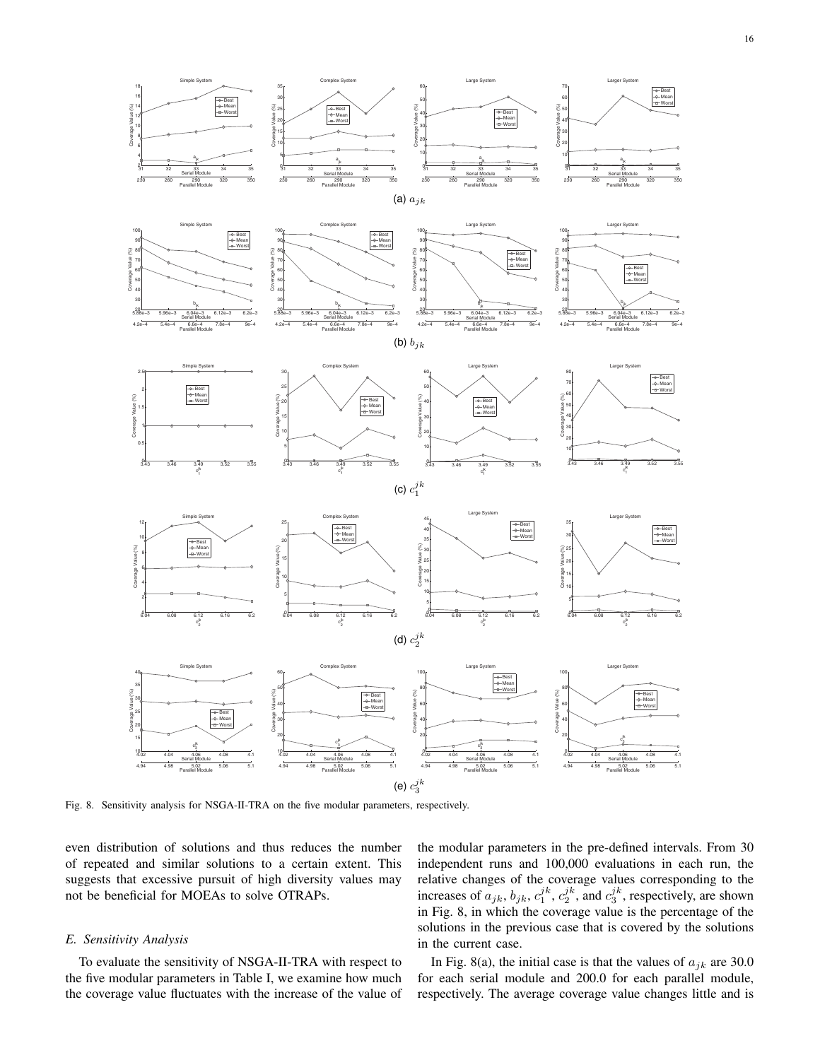

Fig. 8. Sensitivity analysis for NSGA-II-TRA on the five modular parameters, respectively.

even distribution of solutions and thus reduces the number of repeated and similar solutions to a certain extent. This suggests that excessive pursuit of high diversity values may not be beneficial for MOEAs to solve OTRAPs.

#### *E. Sensitivity Analysis*

To evaluate the sensitivity of NSGA-II-TRA with respect to the five modular parameters in Table I, we examine how much the coverage value fluctuates with the increase of the value of the modular parameters in the pre-defined intervals. From 30 independent runs and 100,000 evaluations in each run, the relative changes of the coverage values corresponding to the increases of  $a_{jk}$ ,  $b_{jk}$ ,  $c_1^{jk}$ ,  $c_2^{jk}$ , and  $c_3^{jk}$ , respectively, are shown in Fig. 8, in which the coverage value is the percentage of the solutions in the previous case that is covered by the solutions in the current case.

In Fig. 8(a), the initial case is that the values of  $a_{jk}$  are 30.0 for each serial module and 200.0 for each parallel module, respectively. The average coverage value changes little and is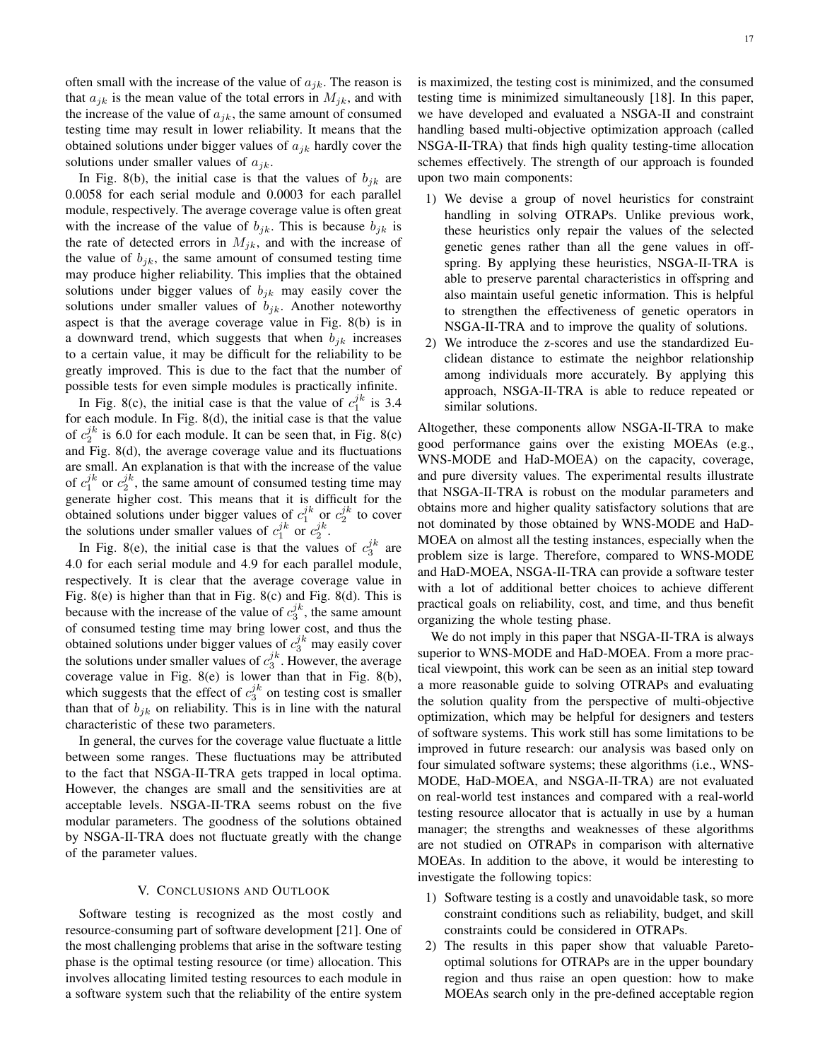often small with the increase of the value of *ajk*. The reason is that  $a_{jk}$  is the mean value of the total errors in  $M_{jk}$ , and with the increase of the value of  $a_{jk}$ , the same amount of consumed testing time may result in lower reliability. It means that the obtained solutions under bigger values of *ajk* hardly cover the solutions under smaller values of *ajk*.

In Fig. 8(b), the initial case is that the values of  $b_{jk}$  are 0.0058 for each serial module and 0.0003 for each parallel module, respectively. The average coverage value is often great with the increase of the value of  $b_{jk}$ . This is because  $b_{jk}$  is the rate of detected errors in  $M_{jk}$ , and with the increase of the value of  $b_{jk}$ , the same amount of consumed testing time may produce higher reliability. This implies that the obtained solutions under bigger values of  $b_{jk}$  may easily cover the solutions under smaller values of  $b_{jk}$ . Another noteworthy aspect is that the average coverage value in Fig. 8(b) is in a downward trend, which suggests that when  $b_{jk}$  increases to a certain value, it may be difficult for the reliability to be greatly improved. This is due to the fact that the number of possible tests for even simple modules is practically infinite.

In Fig. 8(c), the initial case is that the value of  $c_1^{jk}$  is 3.4 for each module. In Fig. 8(d), the initial case is that the value of  $c_2^{jk}$  is 6.0 for each module. It can be seen that, in Fig. 8(c) and Fig. 8(d), the average coverage value and its fluctuations are small. An explanation is that with the increase of the value of  $c_1^{jk}$  or  $c_2^{jk}$ , the same amount of consumed testing time may generate higher cost. This means that it is difficult for the obtained solutions under bigger values of  $c_1^{jk}$  or  $c_2^{jk}$  to cover the solutions under smaller values of  $c_1^{jk}$  or  $c_2^{jk}$ .

In Fig. 8(e), the initial case is that the values of  $c_3^{jk}$  are 4.0 for each serial module and 4.9 for each parallel module, respectively. It is clear that the average coverage value in Fig. 8(e) is higher than that in Fig. 8(c) and Fig. 8(d). This is because with the increase of the value of  $c_3^{jk}$ , the same amount of consumed testing time may bring lower cost, and thus the obtained solutions under bigger values of  $c_3^{jk}$  may easily cover the solutions under smaller values of  $c_3^{jk}$ . However, the average coverage value in Fig. 8(e) is lower than that in Fig. 8(b), which suggests that the effect of  $c_3^{jk}$  on testing cost is smaller than that of  $b_{ik}$  on reliability. This is in line with the natural characteristic of these two parameters.

In general, the curves for the coverage value fluctuate a little between some ranges. These fluctuations may be attributed to the fact that NSGA-II-TRA gets trapped in local optima. However, the changes are small and the sensitivities are at acceptable levels. NSGA-II-TRA seems robust on the five modular parameters. The goodness of the solutions obtained by NSGA-II-TRA does not fluctuate greatly with the change of the parameter values.

#### V. CONCLUSIONS AND OUTLOOK

Software testing is recognized as the most costly and resource-consuming part of software development [21]. One of the most challenging problems that arise in the software testing phase is the optimal testing resource (or time) allocation. This involves allocating limited testing resources to each module in a software system such that the reliability of the entire system is maximized, the testing cost is minimized, and the consumed testing time is minimized simultaneously [18]. In this paper, we have developed and evaluated a NSGA-II and constraint handling based multi-objective optimization approach (called NSGA-II-TRA) that finds high quality testing-time allocation schemes effectively. The strength of our approach is founded upon two main components:

- 1) We devise a group of novel heuristics for constraint handling in solving OTRAPs. Unlike previous work, these heuristics only repair the values of the selected genetic genes rather than all the gene values in offspring. By applying these heuristics, NSGA-II-TRA is able to preserve parental characteristics in offspring and also maintain useful genetic information. This is helpful to strengthen the effectiveness of genetic operators in NSGA-II-TRA and to improve the quality of solutions.
- 2) We introduce the z-scores and use the standardized Euclidean distance to estimate the neighbor relationship among individuals more accurately. By applying this approach, NSGA-II-TRA is able to reduce repeated or similar solutions.

Altogether, these components allow NSGA-II-TRA to make good performance gains over the existing MOEAs (e.g., WNS-MODE and HaD-MOEA) on the capacity, coverage, and pure diversity values. The experimental results illustrate that NSGA-II-TRA is robust on the modular parameters and obtains more and higher quality satisfactory solutions that are not dominated by those obtained by WNS-MODE and HaD-MOEA on almost all the testing instances, especially when the problem size is large. Therefore, compared to WNS-MODE and HaD-MOEA, NSGA-II-TRA can provide a software tester with a lot of additional better choices to achieve different practical goals on reliability, cost, and time, and thus benefit organizing the whole testing phase.

We do not imply in this paper that NSGA-II-TRA is always superior to WNS-MODE and HaD-MOEA. From a more practical viewpoint, this work can be seen as an initial step toward a more reasonable guide to solving OTRAPs and evaluating the solution quality from the perspective of multi-objective optimization, which may be helpful for designers and testers of software systems. This work still has some limitations to be improved in future research: our analysis was based only on four simulated software systems; these algorithms (i.e., WNS-MODE, HaD-MOEA, and NSGA-II-TRA) are not evaluated on real-world test instances and compared with a real-world testing resource allocator that is actually in use by a human manager; the strengths and weaknesses of these algorithms are not studied on OTRAPs in comparison with alternative MOEAs. In addition to the above, it would be interesting to investigate the following topics:

- 1) Software testing is a costly and unavoidable task, so more constraint conditions such as reliability, budget, and skill constraints could be considered in OTRAPs.
- 2) The results in this paper show that valuable Paretooptimal solutions for OTRAPs are in the upper boundary region and thus raise an open question: how to make MOEAs search only in the pre-defined acceptable region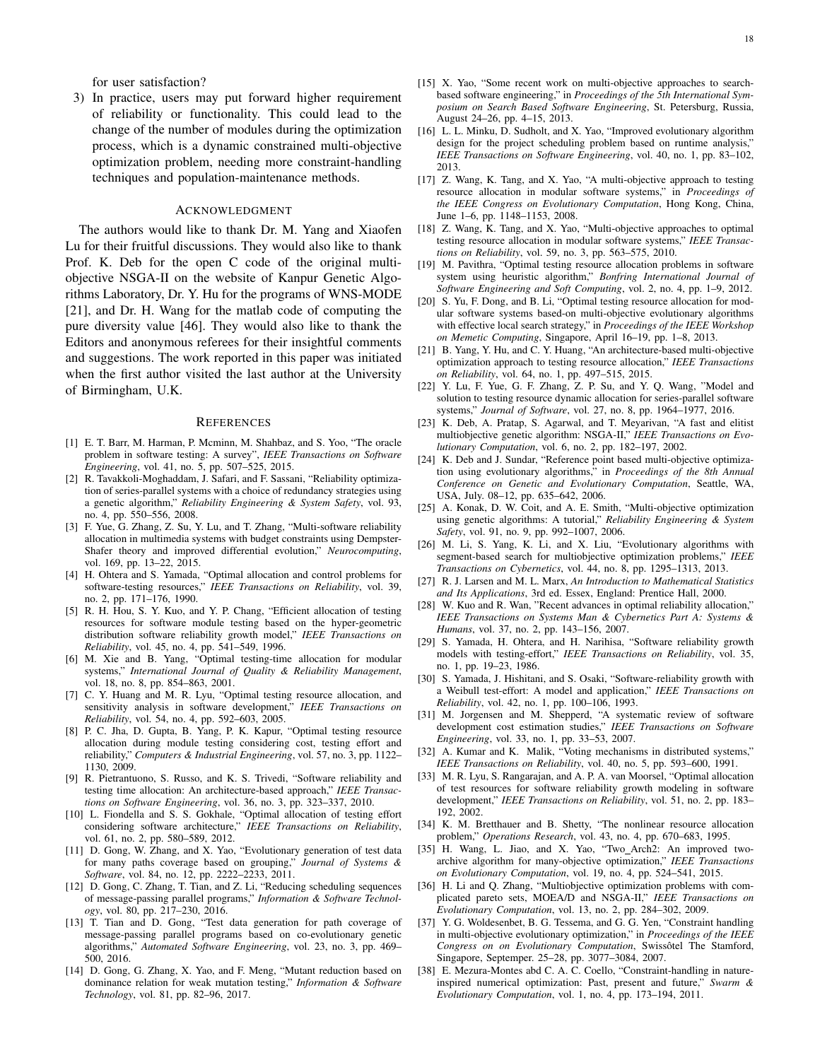for user satisfaction?

3) In practice, users may put forward higher requirement of reliability or functionality. This could lead to the change of the number of modules during the optimization process, which is a dynamic constrained multi-objective optimization problem, needing more constraint-handling techniques and population-maintenance methods.

#### ACKNOWLEDGMENT

The authors would like to thank Dr. M. Yang and Xiaofen Lu for their fruitful discussions. They would also like to thank Prof. K. Deb for the open C code of the original multiobjective NSGA-II on the website of Kanpur Genetic Algorithms Laboratory, Dr. Y. Hu for the programs of WNS-MODE [21], and Dr. H. Wang for the matlab code of computing the pure diversity value [46]. They would also like to thank the Editors and anonymous referees for their insightful comments and suggestions. The work reported in this paper was initiated when the first author visited the last author at the University of Birmingham, U.K.

#### **REFERENCES**

- [1] E. T. Barr, M. Harman, P. Mcminn, M. Shahbaz, and S. Yoo, "The oracle problem in software testing: A survey", *IEEE Transactions on Software Engineering*, vol. 41, no. 5, pp. 507–525, 2015.
- [2] R. Tavakkoli-Moghaddam, J. Safari, and F. Sassani, "Reliability optimization of series-parallel systems with a choice of redundancy strategies using a genetic algorithm," *Reliability Engineering & System Safety*, vol. 93, no. 4, pp. 550–556, 2008.
- [3] F. Yue, G. Zhang, Z. Su, Y. Lu, and T. Zhang, "Multi-software reliability allocation in multimedia systems with budget constraints using Dempster-Shafer theory and improved differential evolution," *Neurocomputing*, vol. 169, pp. 13–22, 2015.
- [4] H. Ohtera and S. Yamada, "Optimal allocation and control problems for software-testing resources," *IEEE Transactions on Reliability*, vol. 39, no. 2, pp. 171–176, 1990.
- [5] R. H. Hou, S. Y. Kuo, and Y. P. Chang, "Efficient allocation of testing resources for software module testing based on the hyper-geometric distribution software reliability growth model," *IEEE Transactions on Reliability*, vol. 45, no. 4, pp. 541–549, 1996.
- [6] M. Xie and B. Yang, "Optimal testing-time allocation for modular systems," *International Journal of Quality & Reliability Management*, vol. 18, no. 8, pp. 854–863, 2001.
- [7] C. Y. Huang and M. R. Lyu, "Optimal testing resource allocation, and sensitivity analysis in software development," *IEEE Transactions on Reliability*, vol. 54, no. 4, pp. 592–603, 2005.
- [8] P. C. Jha, D. Gupta, B. Yang, P. K. Kapur, "Optimal testing resource allocation during module testing considering cost, testing effort and reliability," *Computers & Industrial Engineering*, vol. 57, no. 3, pp. 1122– 1130, 2009.
- [9] R. Pietrantuono, S. Russo, and K. S. Trivedi, "Software reliability and testing time allocation: An architecture-based approach," *IEEE Transactions on Software Engineering*, vol. 36, no. 3, pp. 323–337, 2010.
- [10] L. Fiondella and S. S. Gokhale, "Optimal allocation of testing effort considering software architecture," *IEEE Transactions on Reliability*, vol. 61, no. 2, pp. 580–589, 2012.
- [11] D. Gong, W. Zhang, and X. Yao, "Evolutionary generation of test data for many paths coverage based on grouping," *Journal of Systems & Software*, vol. 84, no. 12, pp. 2222–2233, 2011.
- [12] D. Gong, C. Zhang, T. Tian, and Z. Li, "Reducing scheduling sequences of message-passing parallel programs," *Information & Software Technology*, vol. 80, pp. 217–230, 2016.
- [13] T. Tian and D. Gong, "Test data generation for path coverage of message-passing parallel programs based on co-evolutionary genetic algorithms," *Automated Software Engineering*, vol. 23, no. 3, pp. 469– 500, 2016.
- [14] D. Gong, G. Zhang, X. Yao, and F. Meng, "Mutant reduction based on dominance relation for weak mutation testing," *Information & Software Technology*, vol. 81, pp. 82–96, 2017.
- [15] X. Yao, "Some recent work on multi-objective approaches to searchbased software engineering," in *Proceedings of the 5th International Symposium on Search Based Software Engineering*, St. Petersburg, Russia, August 24–26, pp. 4–15, 2013.
- [16] L. L. Minku, D. Sudholt, and X. Yao, "Improved evolutionary algorithm design for the project scheduling problem based on runtime analysis," *IEEE Transactions on Software Engineering*, vol. 40, no. 1, pp. 83–102, 2013.
- [17] Z. Wang, K. Tang, and X. Yao, "A multi-objective approach to testing resource allocation in modular software systems," in *Proceedings of the IEEE Congress on Evolutionary Computation*, Hong Kong, China, June 1–6, pp. 1148–1153, 2008.
- [18] Z. Wang, K. Tang, and X. Yao, "Multi-objective approaches to optimal testing resource allocation in modular software systems," *IEEE Transactions on Reliability*, vol. 59, no. 3, pp. 563–575, 2010.
- [19] M. Pavithra, "Optimal testing resource allocation problems in software system using heuristic algorithm," *Bonfring International Journal of Software Engineering and Soft Computing*, vol. 2, no. 4, pp. 1–9, 2012.
- [20] S. Yu, F. Dong, and B. Li, "Optimal testing resource allocation for modular software systems based-on multi-objective evolutionary algorithms with effective local search strategy," in *Proceedings of the IEEE Workshop on Memetic Computing*, Singapore, April 16–19, pp. 1–8, 2013.
- [21] B. Yang, Y. Hu, and C. Y. Huang, "An architecture-based multi-objective optimization approach to testing resource allocation," *IEEE Transactions on Reliability*, vol. 64, no. 1, pp. 497–515, 2015.
- [22] Y. Lu, F. Yue, G. F. Zhang, Z. P. Su, and Y. Q. Wang, "Model and solution to testing resource dynamic allocation for series-parallel software systems," *Journal of Software*, vol. 27, no. 8, pp. 1964–1977, 2016.
- [23] K. Deb, A. Pratap, S. Agarwal, and T. Meyarivan, "A fast and elitist multiobjective genetic algorithm: NSGA-II," *IEEE Transactions on Evolutionary Computation*, vol. 6, no. 2, pp. 182–197, 2002.
- [24] K. Deb and J. Sundar, "Reference point based multi-objective optimization using evolutionary algorithms," in *Proceedings of the 8th Annual Conference on Genetic and Evolutionary Computation*, Seattle, WA, USA, July. 08–12, pp. 635–642, 2006.
- [25] A. Konak, D. W. Coit, and A. E. Smith, "Multi-objective optimization using genetic algorithms: A tutorial," *Reliability Engineering & System Safety*, vol. 91, no. 9, pp. 992–1007, 2006.
- [26] M. Li, S. Yang, K. Li, and X. Liu, "Evolutionary algorithms with segment-based search for multiobjective optimization problems," *IEEE Transactions on Cybernetics*, vol. 44, no. 8, pp. 1295–1313, 2013.
- [27] R. J. Larsen and M. L. Marx, *An Introduction to Mathematical Statistics and Its Applications*, 3rd ed. Essex, England: Prentice Hall, 2000.
- [28] W. Kuo and R. Wan, "Recent advances in optimal reliability allocation," *IEEE Transactions on Systems Man & Cybernetics Part A: Systems & Humans*, vol. 37, no. 2, pp. 143–156, 2007.
- [29] S. Yamada, H. Ohtera, and H. Narihisa, "Software reliability growth models with testing-effort," *IEEE Transactions on Reliability*, vol. 35, no. 1, pp. 19–23, 1986.
- [30] S. Yamada, J. Hishitani, and S. Osaki, "Software-reliability growth with a Weibull test-effort: A model and application," *IEEE Transactions on Reliability*, vol. 42, no. 1, pp. 100–106, 1993.
- [31] M. Jorgensen and M. Shepperd, "A systematic review of software development cost estimation studies," *IEEE Transactions on Software Engineering*, vol. 33, no. 1, pp. 33–53, 2007.
- [32] A. Kumar and K. Malik, "Voting mechanisms in distributed systems," *IEEE Transactions on Reliability*, vol. 40, no. 5, pp. 593–600, 1991.
- [33] M. R. Lyu, S. Rangarajan, and A. P. A. van Moorsel, "Optimal allocation of test resources for software reliability growth modeling in software development," *IEEE Transactions on Reliability*, vol. 51, no. 2, pp. 183– 192, 2002.
- [34] K. M. Bretthauer and B. Shetty, "The nonlinear resource allocation problem," *Operations Research*, vol. 43, no. 4, pp. 670–683, 1995.
- [35] H. Wang, L. Jiao, and X. Yao, "Two Arch2: An improved twoarchive algorithm for many-objective optimization," *IEEE Transactions on Evolutionary Computation*, vol. 19, no. 4, pp. 524–541, 2015.
- [36] H. Li and Q. Zhang, "Multiobjective optimization problems with complicated pareto sets, MOEA/D and NSGA-II," *IEEE Transactions on Evolutionary Computation*, vol. 13, no. 2, pp. 284–302, 2009.
- [37] Y. G. Woldesenbet, B. G. Tessema, and G. G. Yen, "Constraint handling in multi-objective evolutionary optimization," in *Proceedings of the IEEE Congress on on Evolutionary Computation*, Swissôtel The Stamford, Singapore, Septemper. 25–28, pp. 3077–3084, 2007.
- [38] E. Mezura-Montes abd C. A. C. Coello, "Constraint-handling in natureinspired numerical optimization: Past, present and future," *Swarm & Evolutionary Computation*, vol. 1, no. 4, pp. 173–194, 2011.